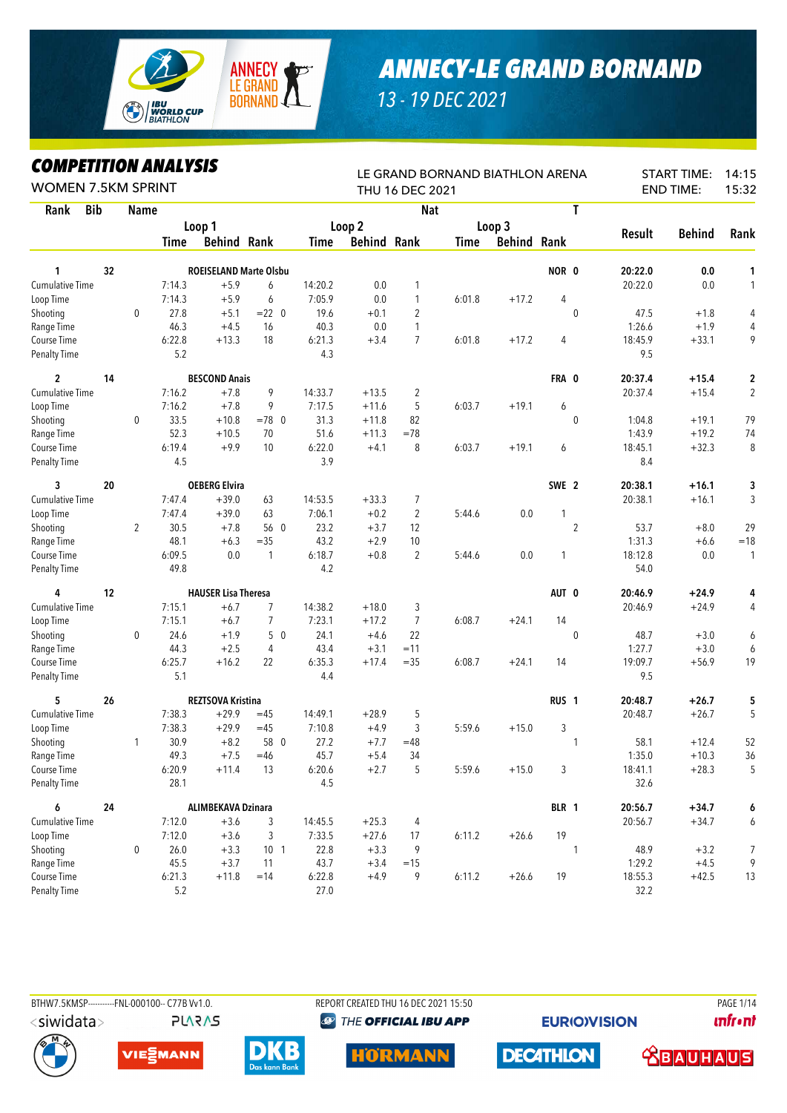

## *ANNECY-LE GRAND BORNAND*

*13 - 19 DEC 2021*

## *COMPETITION ANALYSIS*

| COMPEIIIION ANALYSIS<br><b>WOMEN 7.5KM SPRINT</b> |    |                |             |                               |                 |         |                    | THU 16 DEC 2021 | LE GRAND BORNAND BIATHLON ARENA |                    |                  |                |               | <b>START TIME:</b><br><b>END TIME:</b> | 14:15<br>15:32 |
|---------------------------------------------------|----|----------------|-------------|-------------------------------|-----------------|---------|--------------------|-----------------|---------------------------------|--------------------|------------------|----------------|---------------|----------------------------------------|----------------|
| <b>Bib</b><br>Rank                                |    | <b>Name</b>    |             |                               |                 |         |                    | <b>Nat</b>      |                                 |                    |                  | T              |               |                                        |                |
|                                                   |    |                |             | Loop 1                        |                 |         | Loop <sub>2</sub>  |                 |                                 | Loop 3             |                  |                |               |                                        |                |
|                                                   |    |                | <b>Time</b> | <b>Behind Rank</b>            |                 | Time    | <b>Behind Rank</b> |                 | Time                            | <b>Behind Rank</b> |                  |                | <b>Result</b> | <b>Behind</b>                          | Rank           |
| 1                                                 | 32 |                |             | <b>ROEISELAND Marte Olsbu</b> |                 |         |                    |                 |                                 |                    | NOR 0            |                | 20:22.0       | 0.0                                    | 1              |
| <b>Cumulative Time</b>                            |    |                | 7:14.3      | $+5.9$                        | 6               | 14:20.2 | 0.0                | 1               |                                 |                    |                  |                | 20:22.0       | 0.0                                    | $\mathbf{1}$   |
| Loop Time                                         |    |                | 7:14.3      | $+5.9$                        | 6               | 7:05.9  | 0.0                | 1               | 6:01.8                          | $+17.2$            | 4                |                |               |                                        |                |
| Shooting                                          |    | 0              | 27.8        | $+5.1$                        | $= 22 \ 0$      | 19.6    | $+0.1$             | $\overline{c}$  |                                 |                    |                  | $\mathbf{0}$   | 47.5          | $+1.8$                                 | 4              |
| Range Time                                        |    |                | 46.3        | $+4.5$                        | 16              | 40.3    | 0.0                | 1               |                                 |                    |                  |                | 1:26.6        | $+1.9$                                 | 4              |
| Course Time                                       |    |                | 6:22.8      | $+13.3$                       | 18              | 6:21.3  | $+3.4$             | $\overline{7}$  | 6:01.8                          | $+17.2$            | 4                |                | 18:45.9       | $+33.1$                                | 9              |
| <b>Penalty Time</b>                               |    |                | 5.2         |                               |                 | 4.3     |                    |                 |                                 |                    |                  |                | 9.5           |                                        |                |
| 2                                                 | 14 |                |             | <b>BESCOND Anais</b>          |                 |         |                    |                 |                                 |                    | FRA 0            |                | 20:37.4       | $+15.4$                                | 2              |
| <b>Cumulative Time</b>                            |    |                | 7:16.2      | $+7.8$                        | 9               | 14:33.7 | $+13.5$            | $\overline{2}$  |                                 |                    |                  |                | 20:37.4       | $+15.4$                                | $\sqrt{2}$     |
| Loop Time                                         |    |                | 7:16.2      | $+7.8$                        | 9               | 7:17.5  | $+11.6$            | 5               | 6:03.7                          | $+19.1$            | 6                |                |               |                                        |                |
| Shooting                                          |    | 0              | 33.5        | $+10.8$                       | $=78$ 0         | 31.3    | $+11.8$            | 82              |                                 |                    |                  | $\mathbf{0}$   | 1:04.8        | $+19.1$                                | 79             |
| Range Time                                        |    |                | 52.3        | $+10.5$                       | 70              | 51.6    | $+11.3$            | $=78$           |                                 |                    |                  |                | 1:43.9        | $+19.2$                                | 74             |
| Course Time                                       |    |                | 6:19.4      | $+9.9$                        | 10              | 6:22.0  | $+4.1$             | 8               | 6:03.7                          | $+19.1$            | 6                |                | 18:45.1       | $+32.3$                                | 8              |
| <b>Penalty Time</b>                               |    |                | 4.5         |                               |                 | 3.9     |                    |                 |                                 |                    |                  |                | 8.4           |                                        |                |
| 3                                                 | 20 |                |             | <b>OEBERG Elvira</b>          |                 |         |                    |                 |                                 |                    | SWE 2            |                | 20:38.1       | $+16.1$                                | 3              |
| <b>Cumulative Time</b>                            |    |                | 7:47.4      | $+39.0$                       | 63              | 14:53.5 | $+33.3$            | 7               |                                 |                    |                  |                | 20:38.1       | $+16.1$                                | 3              |
| Loop Time                                         |    |                | 7:47.4      | $+39.0$                       | 63              | 7:06.1  | $+0.2$             | $\overline{2}$  | 5:44.6                          | 0.0                | 1                |                |               |                                        |                |
| Shooting                                          |    | $\overline{2}$ | 30.5        | $+7.8$                        | 56 0            | 23.2    | $+3.7$             | 12              |                                 |                    |                  | $\overline{2}$ | 53.7          | $+8.0$                                 | 29             |
| Range Time                                        |    |                | 48.1        | $+6.3$                        | $=35$           | 43.2    | $+2.9$             | 10              |                                 |                    |                  |                | 1:31.3        | $+6.6$                                 | $=18$          |
| Course Time                                       |    |                | 6:09.5      | 0.0                           | $\mathbf{1}$    | 6:18.7  | $+0.8$             | $\overline{2}$  | 5:44.6                          | 0.0                | 1                |                | 18:12.8       | 0.0                                    | 1              |
| Penalty Time                                      |    |                | 49.8        |                               |                 | 4.2     |                    |                 |                                 |                    |                  |                | 54.0          |                                        |                |
| 4                                                 | 12 |                |             | <b>HAUSER Lisa Theresa</b>    |                 |         |                    |                 |                                 |                    | AUT 0            |                | 20:46.9       | $+24.9$                                | 4              |
| <b>Cumulative Time</b>                            |    |                | 7:15.1      | $+6.7$                        | 7               | 14:38.2 | $+18.0$            | 3               |                                 |                    |                  |                | 20:46.9       | $+24.9$                                | 4              |
| Loop Time                                         |    |                | 7:15.1      | $+6.7$                        | $\overline{7}$  | 7:23.1  | $+17.2$            | 7               | 6:08.7                          | $+24.1$            | 14               |                |               |                                        |                |
| Shooting                                          |    | 0              | 24.6        | $+1.9$                        | 50              | 24.1    | $+4.6$             | 22              |                                 |                    |                  | $\mathbf 0$    | 48.7          | $+3.0$                                 | 6              |
| Range Time                                        |    |                | 44.3        | $+2.5$                        | 4               | 43.4    | $+3.1$             | $=11$           |                                 |                    |                  |                | 1:27.7        | $+3.0$                                 | 6              |
| Course Time                                       |    |                | 6:25.7      | $+16.2$                       | 22              | 6:35.3  | $+17.4$            | $=35$           | 6:08.7                          | $+24.1$            | 14               |                | 19:09.7       | $+56.9$                                | 19             |
| <b>Penalty Time</b>                               |    |                | 5.1         |                               |                 | 4.4     |                    |                 |                                 |                    |                  |                | 9.5           |                                        |                |
| 5                                                 | 26 |                |             | <b>REZTSOVA Kristina</b>      |                 |         |                    |                 |                                 |                    | RUS <sub>1</sub> |                | 20:48.7       | $+26.7$                                | 5              |
| <b>Cumulative Time</b>                            |    |                | 7:38.3      | $+29.9$                       | $=45$           | 14:49.1 | $+28.9$            | 5               |                                 |                    |                  |                | 20:48.7       | $+26.7$                                | 5              |
| Loop Time                                         |    |                | 7:38.3      | $+29.9$                       | $=45$           | 7:10.8  | $+4.9$             | 3               | 5:59.6                          | $+15.0$            | 3                |                |               |                                        |                |
| Shooting                                          |    | 1              | 30.9        | $+8.2$                        | 58 0            | 27.2    | $+7.7$             | $=48$           |                                 |                    |                  | 1              | 58.1          | $+12.4$                                | 52             |
| Range Time                                        |    |                | 49.3        | $+7.5$                        | $=46$           | 45.7    | $+5.4$             | 34              |                                 |                    |                  |                | 1:35.0        | $+10.3$                                | 36             |
| Course Time                                       |    |                | 6:20.9      | $+11.4$                       | 13              | 6:20.6  | $+2.7$             | 5               | 5:59.6                          | $+15.0$            | 3                |                | 18:41.1       | $+28.3$                                | 5              |
| <b>Penalty Time</b>                               |    |                | 28.1        |                               |                 | 4.5     |                    |                 |                                 |                    |                  |                | 32.6          |                                        |                |
| 6                                                 | 24 |                |             | <b>ALIMBEKAVA Dzinara</b>     |                 |         |                    |                 |                                 |                    | BLR 1            |                | 20:56.7       | $+34.7$                                | 6              |
| Cumulative Time                                   |    |                | 7:12.0      | $+3.6$                        | 3               | 14:45.5 | $+25.3$            | 4               |                                 |                    |                  |                | 20:56.7       | $+34.7$                                | 6              |
| Loop Time                                         |    |                | 7:12.0      | $+3.6$                        | 3               | 7:33.5  | $+27.6$            | 17              | 6:11.2                          | $+26.6$            | 19               |                |               |                                        |                |
| Shooting                                          |    | 0              | 26.0        | $+3.3$                        | 10 <sub>1</sub> | 22.8    | $+3.3$             | 9               |                                 |                    |                  | 1              | 48.9          | $+3.2$                                 | 7              |
| Range Time                                        |    |                | 45.5        | $+3.7$                        | 11              | 43.7    | $+3.4$             | $=15$           |                                 |                    |                  |                | 1:29.2        | $+4.5$                                 | 9              |
| Course Time                                       |    |                | 6:21.3      | $+11.8$                       | $=14$           | 6:22.8  | $+4.9$             | 9               | 6:11.2                          | $+26.6$            | 19               |                | 18:55.3       | $+42.5$                                | 13             |
| Penalty Time                                      |    |                | 5.2         |                               |                 | 27.0    |                    |                 |                                 |                    |                  |                | 32.2          |                                        |                |



**PLARAS** 

BTHW7.5KMSP-----------FNL-000100-- C77B Vv1.0. REPORT CREATED THU 16 DEC 2021 15:50 PAGE 1/14**@ THE OFFICIAL IBU APP** 

**EURIO)VISION** 

**unfront** 











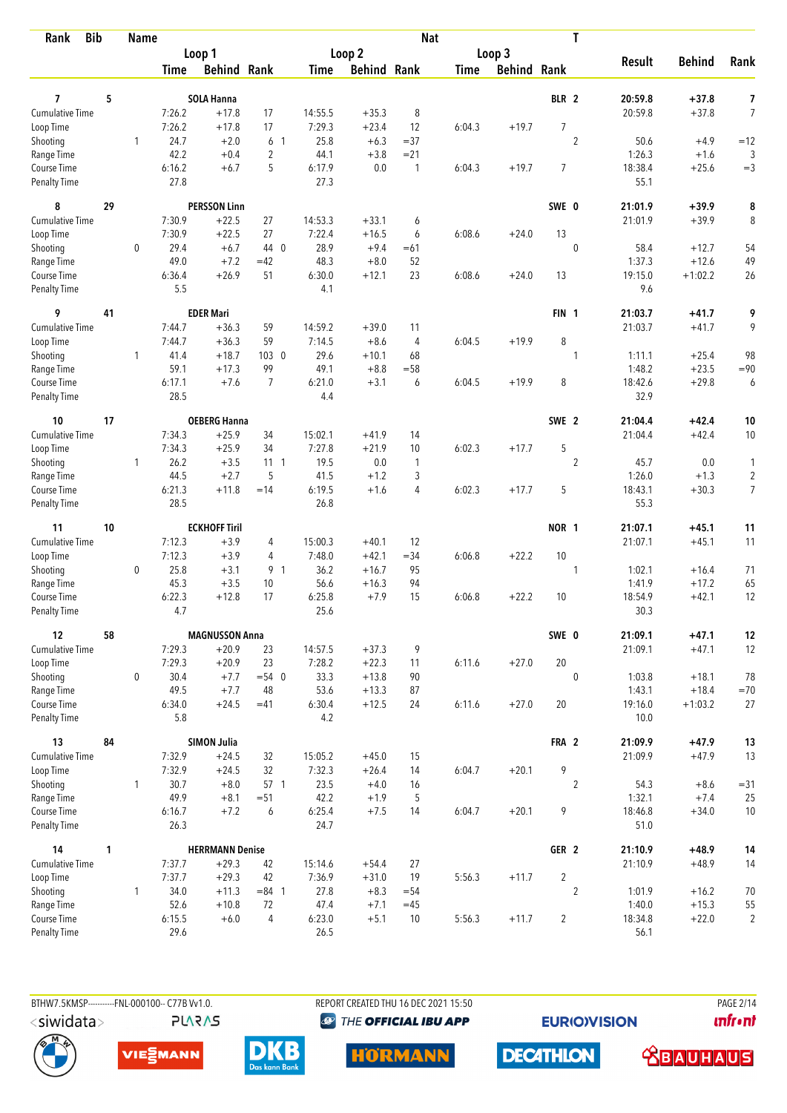| <b>Bib</b><br>Rank                 |    | <b>Name</b>  |                  |                        |                |                   |                    | <b>Nat</b>     |             |             |                  | T              |                 |               |                     |
|------------------------------------|----|--------------|------------------|------------------------|----------------|-------------------|--------------------|----------------|-------------|-------------|------------------|----------------|-----------------|---------------|---------------------|
|                                    |    |              |                  | Loop 1                 |                |                   | Loop 2             |                |             | Loop 3      |                  |                |                 |               |                     |
|                                    |    |              | Time             | <b>Behind Rank</b>     |                | Time              | <b>Behind Rank</b> |                | <b>Time</b> | Behind Rank |                  |                | <b>Result</b>   | <b>Behind</b> | Rank                |
| 7                                  | 5  |              |                  |                        |                |                   |                    |                |             |             | BLR 2            |                | 20:59.8         | $+37.8$       |                     |
| <b>Cumulative Time</b>             |    |              |                  | <b>SOLA Hanna</b>      |                |                   |                    |                |             |             |                  |                | 20:59.8         | $+37.8$       | 7<br>$\overline{7}$ |
| Loop Time                          |    |              | 7:26.2<br>7:26.2 | $+17.8$<br>$+17.8$     | 17<br>17       | 14:55.5<br>7:29.3 | $+35.3$<br>$+23.4$ | 8<br>12        | 6:04.3      | $+19.7$     | $\overline{7}$   |                |                 |               |                     |
| Shooting                           |    | 1            | 24.7             | $+2.0$                 | 6 1            | 25.8              | $+6.3$             | $= 37$         |             |             |                  | $\overline{2}$ | 50.6            | $+4.9$        | $=12$               |
| Range Time                         |    |              | 42.2             | $+0.4$                 | $\overline{c}$ | 44.1              | $+3.8$             | $= 21$         |             |             |                  |                | 1:26.3          | $+1.6$        | 3                   |
| Course Time                        |    |              | 6:16.2           | $+6.7$                 | 5              | 6:17.9            | 0.0                | $\overline{1}$ | 6:04.3      | $+19.7$     | 7                |                | 18:38.4         | $+25.6$       | $=$ 3               |
| <b>Penalty Time</b>                |    |              | 27.8             |                        |                | 27.3              |                    |                |             |             |                  |                | 55.1            |               |                     |
| 8                                  | 29 |              |                  | <b>PERSSON Linn</b>    |                |                   |                    |                |             |             | SWE 0            |                | 21:01.9         | $+39.9$       | 8                   |
| Cumulative Time                    |    |              | 7:30.9           | $+22.5$                | 27             | 14:53.3           | $+33.1$            | 6              |             |             |                  |                | 21:01.9         | $+39.9$       | 8                   |
| Loop Time                          |    |              | 7:30.9           | $+22.5$                | 27             | 7:22.4            | $+16.5$            | 6              | 6:08.6      | $+24.0$     | 13               |                |                 |               |                     |
| Shooting                           |    | 0            | 29.4             | $+6.7$                 | 44 0           | 28.9              | $+9.4$             | $=61$          |             |             |                  | $\mathbf 0$    | 58.4            | $+12.7$       | 54                  |
| Range Time                         |    |              | 49.0             | $+7.2$                 | $=42$          | 48.3              | $+8.0$             | 52             |             |             |                  |                | 1:37.3          | $+12.6$       | 49                  |
| Course Time                        |    |              | 6:36.4           | $+26.9$                | 51             | 6:30.0            | $+12.1$            | 23             | 6:08.6      | $+24.0$     | 13               |                | 19:15.0         | $+1:02.2$     | 26                  |
| <b>Penalty Time</b>                |    |              | 5.5              |                        |                | 4.1               |                    |                |             |             |                  |                | 9.6             |               |                     |
| 9                                  | 41 |              |                  | <b>EDER Mari</b>       |                |                   |                    |                |             |             | FIN <sub>1</sub> |                | 21:03.7         | $+41.7$       | 9                   |
| <b>Cumulative Time</b>             |    |              | 7:44.7           | $+36.3$                | 59             | 14:59.2           | $+39.0$            | 11             |             |             |                  |                | 21:03.7         | $+41.7$       | 9                   |
| Loop Time                          |    |              | 7:44.7           | $+36.3$                | 59             | 7:14.5            | $+8.6$             | $\overline{4}$ | 6:04.5      | $+19.9$     | 8                |                |                 |               |                     |
| Shooting                           |    | 1            | 41.4             | $+18.7$                | $103 \quad 0$  | 29.6              | $+10.1$            | 68             |             |             |                  | 1              | 1:11.1          | $+25.4$       | 98                  |
| Range Time                         |    |              | 59.1             | $+17.3$                | 99             | 49.1              | $+8.8$             | $= 58$         |             |             |                  |                | 1:48.2          | $+23.5$       | $= 90$              |
| Course Time<br><b>Penalty Time</b> |    |              | 6:17.1<br>28.5   | $+7.6$                 | $\overline{7}$ | 6:21.0<br>4.4     | $+3.1$             | 6              | 6:04.5      | $+19.9$     | 8                |                | 18:42.6<br>32.9 | $+29.8$       | 6                   |
| 10                                 | 17 |              |                  | <b>OEBERG Hanna</b>    |                |                   |                    |                |             |             | SWE 2            |                | 21:04.4         | $+42.4$       | 10                  |
| Cumulative Time                    |    |              | 7:34.3           | $+25.9$                | 34             | 15:02.1           | $+41.9$            | 14             |             |             |                  |                | 21:04.4         | $+42.4$       | 10                  |
| Loop Time                          |    |              | 7:34.3           | $+25.9$                | 34             | 7:27.8            | $+21.9$            | 10             | 6:02.3      | $+17.7$     | 5                |                |                 |               |                     |
| Shooting                           |    | $\mathbf{1}$ | 26.2             | $+3.5$                 | $11 \quad 1$   | 19.5              | 0.0                | $\mathbf{1}$   |             |             |                  | $\overline{2}$ | 45.7            | 0.0           | 1                   |
| Range Time                         |    |              | 44.5             | $+2.7$                 | 5              | 41.5              | $+1.2$             | 3              |             |             |                  |                | 1:26.0          | $+1.3$        | $\sqrt{2}$          |
| Course Time                        |    |              | 6:21.3           | $+11.8$                | $=14$          | 6:19.5            | $+1.6$             | 4              | 6:02.3      | $+17.7$     | 5                |                | 18:43.1         | $+30.3$       | $\overline{7}$      |
| <b>Penalty Time</b>                |    |              | 28.5             |                        |                | 26.8              |                    |                |             |             |                  |                | 55.3            |               |                     |
| 11                                 | 10 |              |                  | <b>ECKHOFF Tiril</b>   |                |                   |                    |                |             |             | NOR 1            |                | 21:07.1         | $+45.1$       | 11                  |
| <b>Cumulative Time</b>             |    |              | 7:12.3           | $+3.9$                 | 4              | 15:00.3           | $+40.1$            | 12             |             |             |                  |                | 21:07.1         | $+45.1$       | 11                  |
| Loop Time                          |    |              | 7:12.3           | $+3.9$                 | 4              | 7:48.0            | $+42.1$            | $= 34$         | 6:06.8      | $+22.2$     | 10               |                |                 |               |                     |
| Shooting                           |    | 0            | 25.8             | $+3.1$                 | 9 1            | 36.2              | $+16.7$            | 95             |             |             |                  | 1              | 1:02.1          | $+16.4$       | 71                  |
| Range Time                         |    |              | 45.3             | $+3.5$                 | 10             | 56.6              | $+16.3$            | 94             |             |             |                  |                | 1:41.9          | $+17.2$       | 65                  |
| Course Time                        |    |              | 6:22.3           | $+12.8$                | 17             | 6:25.8            | $+7.9$             | 15             | 6:06.8      | $+22.2$     | 10               |                | 18:54.9         | $+42.1$       | 12                  |
| <b>Penalty Time</b>                |    |              | 4.7              |                        |                | 25.6              |                    |                |             |             |                  |                | 30.3            |               |                     |
| 12                                 | 58 |              |                  | <b>MAGNUSSON Anna</b>  |                |                   |                    |                |             |             | SWE 0            |                | 21:09.1         | $+47.1$       | 12                  |
| Cumulative Time                    |    |              | 7:29.3           | $+20.9$                | 23             | 14:57.5           | $+37.3$            | 9              |             |             |                  |                | 21:09.1         | $+47.1$       | 12                  |
| Loop Time                          |    |              | 7:29.3           | $+20.9$                | 23             | 7:28.2            | $+22.3$            | 11             | 6:11.6      | $+27.0$     | 20               |                |                 |               |                     |
| Shooting                           |    | 0            | 30.4             | $+7.7$                 | $= 54$ 0       | 33.3              | $+13.8$            | 90             |             |             |                  | $\mathbf{0}$   | 1:03.8          | $+18.1$       | 78                  |
| Range Time                         |    |              | 49.5             | $+7.7$                 | 48             | 53.6              | $+13.3$            | 87             |             |             |                  |                | 1:43.1          | $+18.4$       | $=70$               |
| Course Time<br>Penalty Time        |    |              | 6:34.0<br>5.8    | $+24.5$                | $=41$          | 6:30.4<br>4.2     | $+12.5$            | 24             | 6:11.6      | $+27.0$     | 20               |                | 19:16.0<br>10.0 | $+1:03.2$     | 27                  |
| 13                                 | 84 |              |                  | <b>SIMON Julia</b>     |                |                   |                    |                |             |             | FRA 2            |                | 21:09.9         | $+47.9$       | 13                  |
| <b>Cumulative Time</b>             |    |              | 7:32.9           | $+24.5$                | 32             | 15:05.2           | $+45.0$            | 15             |             |             |                  |                | 21:09.9         | $+47.9$       | 13                  |
| Loop Time                          |    |              | 7:32.9           | $+24.5$                | 32             | 7:32.3            | $+26.4$            | 14             | 6:04.7      | $+20.1$     | 9                |                |                 |               |                     |
| Shooting                           |    | 1            | 30.7             | $+8.0$                 | 57 1           | 23.5              | $+4.0$             | 16             |             |             |                  | $\overline{2}$ | 54.3            | $+8.6$        | $= 31$              |
| Range Time                         |    |              | 49.9             | $+8.1$                 | $= 51$         | 42.2              | $+1.9$             | 5              |             |             |                  |                | 1:32.1          | $+7.4$        | 25                  |
| Course Time                        |    |              | 6:16.7           | $+7.2$                 | 6              | 6:25.4            | $+7.5$             | 14             | 6:04.7      | $+20.1$     | 9                |                | 18:46.8         | $+34.0$       | 10                  |
| Penalty Time                       |    |              | 26.3             |                        |                | 24.7              |                    |                |             |             |                  |                | 51.0            |               |                     |
| 14                                 | 1  |              |                  | <b>HERRMANN Denise</b> |                |                   |                    |                |             |             | GER <sub>2</sub> |                | 21:10.9         | $+48.9$       | 14                  |
| Cumulative Time                    |    |              | 7:37.7           | $+29.3$                | 42             | 15:14.6           | $+54.4$            | 27             |             |             |                  |                | 21:10.9         | $+48.9$       | 14                  |
| Loop Time                          |    |              | 7:37.7           | $+29.3$                | 42             | 7:36.9            | $+31.0$            | 19             | 5:56.3      | $+11.7$     | $\overline{2}$   |                |                 |               |                     |
| Shooting                           |    | $\mathbf{1}$ | 34.0             | $+11.3$                | $= 84$ 1       | 27.8              | $+8.3$             | $= 54$         |             |             |                  | $\overline{c}$ | 1:01.9          | $+16.2$       | 70                  |
| Range Time                         |    |              | 52.6             | $+10.8$                | 72             | 47.4              | $+7.1$             | $=45$          |             |             |                  |                | 1:40.0          | $+15.3$       | 55                  |
| Course Time                        |    |              | 6:15.5           | $+6.0$                 | 4              | 6:23.0            | $+5.1$             | 10             | 5:56.3      | $+11.7$     | $\overline{2}$   |                | 18:34.8         | $+22.0$       | $\overline{2}$      |
| Penalty Time                       |    |              | 29.6             |                        |                | 26.5              |                    |                |             |             |                  |                | 56.1            |               |                     |

BTHW7.5KMSP----------FNL-000100-- C77B Vv1.0. **PLARAS**  REPORT CREATED THU 16 DEC 2021 15:50 <sup><sup>9</sup> THE OFFICIAL IBU APP</sup>

**HORMANN** 

**EURIOVISION** 

**DECATHLON** 

**PAGE 2/14** *<u><u>Infront</u>*</u>





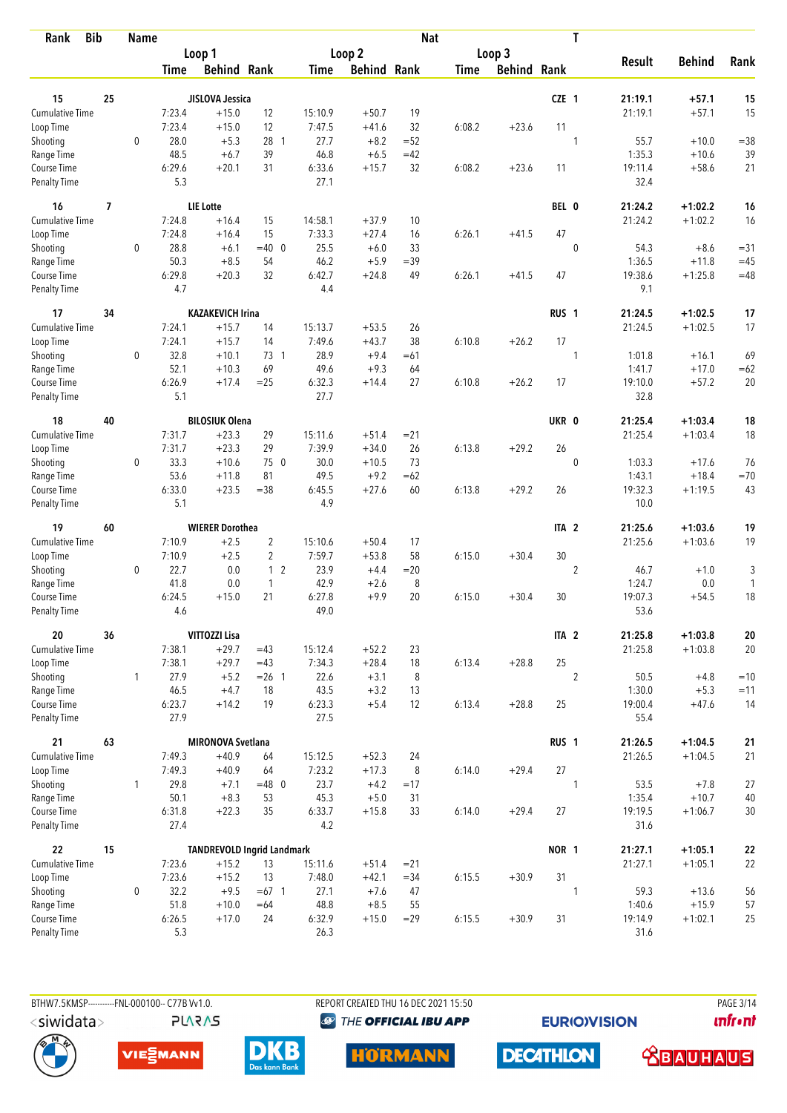| <b>Bib</b><br>Rank                 |    | <b>Name</b>  |               |                                   |                |                |                    | <b>Nat</b> |             |                    |                  | T              |                 |                  |                |
|------------------------------------|----|--------------|---------------|-----------------------------------|----------------|----------------|--------------------|------------|-------------|--------------------|------------------|----------------|-----------------|------------------|----------------|
|                                    |    |              |               | Loop 1                            |                |                | Loop 2             |            |             | Loop 3             |                  |                | <b>Result</b>   |                  |                |
|                                    |    |              | Time          | <b>Behind Rank</b>                |                | Time           | <b>Behind Rank</b> |            | <b>Time</b> | <b>Behind Rank</b> |                  |                |                 | <b>Behind</b>    | Rank           |
| 15                                 | 25 |              |               | JISLOVA Jessica                   |                |                |                    |            |             |                    | CZE 1            |                | 21:19.1         | $+57.1$          | 15             |
| <b>Cumulative Time</b>             |    |              | 7:23.4        | $+15.0$                           | 12             | 15:10.9        | $+50.7$            | 19         |             |                    |                  |                | 21:19.1         | $+57.1$          | 15             |
| Loop Time                          |    |              | 7:23.4        | $+15.0$                           | 12             | 7:47.5         | $+41.6$            | 32         | 6:08.2      | $+23.6$            | 11               |                |                 |                  |                |
| Shooting                           |    | $\mathbf 0$  | 28.0          | $+5.3$                            | 28 1           | 27.7           | $+8.2$             | $=52$      |             |                    |                  | 1              | 55.7            | $+10.0$          | $= 38$         |
| Range Time                         |    |              | 48.5          | $+6.7$                            | 39             | 46.8           | $+6.5$             | $=42$      |             |                    |                  |                | 1:35.3          | $+10.6$          | 39             |
| Course Time                        |    |              | 6:29.6        | $+20.1$                           | 31             | 6:33.6         | $+15.7$            | 32         | 6:08.2      | $+23.6$            | 11               |                | 19:11.4         | $+58.6$          | 21             |
| <b>Penalty Time</b>                |    |              | 5.3           |                                   |                | 27.1           |                    |            |             |                    |                  |                | 32.4            |                  |                |
| 16                                 | 7  |              |               | <b>LIE</b> Lotte                  |                |                |                    |            |             |                    | BEL 0            |                | 21:24.2         | $+1:02.2$        | 16             |
| <b>Cumulative Time</b>             |    |              | 7:24.8        | $+16.4$                           | 15             | 14:58.1        | $+37.9$            | 10         |             |                    |                  |                | 21:24.2         | $+1:02.2$        | 16             |
| Loop Time                          |    |              | 7:24.8        | $+16.4$                           | 15             | 7:33.3         | $+27.4$            | 16         | 6:26.1      | $+41.5$            | 47               |                |                 |                  |                |
| Shooting                           |    | 0            | 28.8          | $+6.1$                            | $=40$ 0        | 25.5           | $+6.0$             | 33         |             |                    |                  | $\mathbf{0}$   | 54.3            | $+8.6$           | $= 31$         |
| Range Time                         |    |              | 50.3          | $+8.5$                            | 54             | 46.2           | $+5.9$             | $=39$      |             |                    |                  |                | 1:36.5          | $+11.8$          | $=45$          |
| Course Time                        |    |              | 6:29.8        | $+20.3$                           | 32             | 6:42.7         | $+24.8$            | 49         | 6:26.1      | $+41.5$            | 47               |                | 19:38.6         | $+1:25.8$        | $=48$          |
| Penalty Time                       |    |              | 4.7           |                                   |                | 4.4            |                    |            |             |                    |                  |                | 9.1             |                  |                |
| 17                                 | 34 |              |               | <b>KAZAKEVICH Irina</b>           |                |                |                    |            |             |                    | RUS <sub>1</sub> |                | 21:24.5         | $+1:02.5$        | 17             |
| <b>Cumulative Time</b>             |    |              | 7:24.1        | $+15.7$                           | 14             | 15:13.7        | $+53.5$            | 26         |             |                    |                  |                | 21:24.5         | $+1:02.5$        | 17             |
| Loop Time                          |    |              | 7:24.1        | $+15.7$                           | 14             | 7:49.6         | $+43.7$            | 38         | 6:10.8      | $+26.2$            | 17               |                |                 |                  |                |
| Shooting                           |    | 0            | 32.8          | $+10.1$                           | 73 1           | 28.9           | $+9.4$             | $=61$      |             |                    |                  | 1              | 1:01.8          | $+16.1$          | 69             |
| Range Time                         |    |              | 52.1          | $+10.3$                           | 69             | 49.6           | $+9.3$             | 64         |             |                    |                  |                | 1:41.7          | $+17.0$          | $=62$          |
| Course Time<br><b>Penalty Time</b> |    |              | 6:26.9<br>5.1 | $+17.4$                           | $=25$          | 6:32.3<br>27.7 | $+14.4$            | 27         | 6:10.8      | $+26.2$            | 17               |                | 19:10.0<br>32.8 | $+57.2$          | 20             |
| 18                                 | 40 |              |               | <b>BILOSIUK Olena</b>             |                |                |                    |            |             |                    | UKR 0            |                | 21:25.4         | $+1:03.4$        | 18             |
| <b>Cumulative Time</b>             |    |              | 7:31.7        | $+23.3$                           | 29             | 15:11.6        | $+51.4$            | $= 21$     |             |                    |                  |                | 21:25.4         | $+1:03.4$        | 18             |
| Loop Time                          |    |              | 7:31.7        | $+23.3$                           | 29             | 7:39.9         | $+34.0$            | 26         | 6:13.8      | $+29.2$            | 26               |                |                 |                  |                |
| Shooting                           |    | 0            | 33.3          | $+10.6$                           | 75 0           | 30.0           | $+10.5$            | 73         |             |                    |                  | $\mathbf{0}$   | 1:03.3          | $+17.6$          | 76             |
| Range Time                         |    |              | 53.6          | $+11.8$                           | 81             | 49.5           | $+9.2$             | $=62$      |             |                    |                  |                | 1:43.1          | $+18.4$          | $=70$          |
| Course Time                        |    |              | 6:33.0        | $+23.5$                           | $= 38$         | 6:45.5         | $+27.6$            | 60         | 6:13.8      | $+29.2$            | 26               |                | 19:32.3         | $+1:19.5$        | 43             |
| <b>Penalty Time</b>                |    |              | 5.1           |                                   |                | 4.9            |                    |            |             |                    |                  |                | 10.0            |                  |                |
| 19                                 | 60 |              |               | <b>WIERER Dorothea</b>            |                |                |                    |            |             |                    | ITA <sub>2</sub> |                | 21:25.6         | $+1:03.6$        | 19             |
| <b>Cumulative Time</b>             |    |              | 7:10.9        | $+2.5$                            | $\overline{2}$ | 15:10.6        | $+50.4$            | 17         |             |                    |                  |                | 21:25.6         | $+1:03.6$        | 19             |
| Loop Time                          |    |              | 7:10.9        | $+2.5$                            | $\overline{2}$ | 7:59.7         | $+53.8$            | 58         | 6:15.0      | $+30.4$            | 30               |                |                 |                  |                |
| Shooting                           |    | 0            | 22.7          | 0.0                               | 1 <sub>2</sub> | 23.9           | $+4.4$             | $=20$      |             |                    |                  | $\overline{c}$ | 46.7            | $+1.0$           | 3              |
| Range Time                         |    |              | 41.8          | 0.0                               | $\mathbf{1}$   | 42.9           | $+2.6$             | 8          |             |                    |                  |                | 1:24.7          | $0.0\,$          | 1              |
| Course Time                        |    |              | 6:24.5        | $+15.0$                           | 21             | 6:27.8         | $+9.9$             | 20         | 6:15.0      | $+30.4$            | 30               |                | 19:07.3         | $+54.5$          | 18             |
| <b>Penalty Time</b>                |    |              | 4.6           |                                   |                | 49.0           |                    |            |             |                    |                  |                | 53.6            |                  |                |
| 20                                 | 36 |              |               | <b>VITTOZZI Lisa</b>              |                |                |                    |            |             |                    | ITA <sub>2</sub> |                | 21:25.8         | $+1:03.8$        | ${\bf 20}$     |
| <b>Cumulative Time</b>             |    |              | 7:38.1        | $+29.7$                           | $=43$          | 15:12.4        | $+52.2$            | 23         |             |                    |                  |                | 21:25.8         | $+1:03.8$        | 20             |
| Loop Time                          |    |              | 7:38.1        | $+29.7$                           | $=43$          | 7:34.3         | $+28.4$            | 18         | 6:13.4      | $+28.8$            | 25               |                |                 |                  |                |
| Shooting<br>Range Time             |    | $\mathbf{1}$ | 27.9<br>46.5  | $+5.2$<br>$+4.7$                  | $= 26$ 1<br>18 | 22.6<br>43.5   | $+3.1$<br>$+3.2$   | 8<br>13    |             |                    |                  | $\overline{2}$ | 50.5<br>1:30.0  | $+4.8$<br>$+5.3$ | $=10$<br>$=11$ |
| Course Time                        |    |              | 6:23.7        | $+14.2$                           | 19             | 6:23.3         | $+5.4$             | 12         | 6:13.4      | $+28.8$            | 25               |                | 19:00.4         | $+47.6$          | 14             |
| Penalty Time                       |    |              | 27.9          |                                   |                | 27.5           |                    |            |             |                    |                  |                | 55.4            |                  |                |
| 21                                 | 63 |              |               | <b>MIRONOVA Svetlana</b>          |                |                |                    |            |             |                    | RUS <sub>1</sub> |                | 21:26.5         | $+1:04.5$        | 21             |
| <b>Cumulative Time</b>             |    |              | 7:49.3        | $+40.9$                           | 64             | 15:12.5        | $+52.3$            | 24         |             |                    |                  |                | 21:26.5         | $+1:04.5$        | 21             |
| Loop Time                          |    |              | 7:49.3        | $+40.9$                           | 64             | 7:23.2         | $+17.3$            | 8          | 6:14.0      | $+29.4$            | 27               |                |                 |                  |                |
| Shooting                           |    | $\mathbf{1}$ | 29.8          | $+7.1$                            | $=48$ 0        | 23.7           | $+4.2$             | $=17$      |             |                    |                  | 1              | 53.5            | $+7.8$           | 27             |
| Range Time                         |    |              | 50.1          | $+8.3$                            | 53             | 45.3           | $+5.0$             | 31         |             |                    |                  |                | 1:35.4          | $+10.7$          | $40\,$         |
| Course Time                        |    |              | 6:31.8        | $+22.3$                           | 35             | 6:33.7         | $+15.8$            | 33         | 6:14.0      | $+29.4$            | 27               |                | 19:19.5         | $+1:06.7$        | 30             |
| Penalty Time                       |    |              | 27.4          |                                   |                | 4.2            |                    |            |             |                    |                  |                | 31.6            |                  |                |
| 22                                 | 15 |              |               | <b>TANDREVOLD Ingrid Landmark</b> |                |                |                    |            |             |                    | NOR 1            |                | 21:27.1         | $+1:05.1$        | 22             |
| Cumulative Time                    |    |              | 7:23.6        | $+15.2$                           | 13             | 15:11.6        | $+51.4$            | $= 21$     |             |                    |                  |                | 21:27.1         | $+1:05.1$        | 22             |
| Loop Time                          |    |              | 7:23.6        | $+15.2$                           | 13             | 7:48.0         | $+42.1$            | $= 34$     | 6:15.5      | $+30.9$            | 31               |                |                 |                  |                |
| Shooting                           |    | 0            | 32.2          | $+9.5$                            | $=67$ 1        | 27.1           | $+7.6$             | 47         |             |                    |                  | 1              | 59.3            | $+13.6$          | 56             |
| Range Time                         |    |              | 51.8          | $+10.0$                           | $=64$          | 48.8           | $+8.5$             | 55         |             |                    |                  |                | 1:40.6          | $+15.9$          | 57             |
| Course Time                        |    |              | 6:26.5        | $+17.0$                           | 24             | 6:32.9         | $+15.0$            | $=29$      | 6:15.5      | $+30.9$            | 31               |                | 19:14.9         | $+1:02.1$        | 25             |
| Penalty Time                       |    |              | 5.3           |                                   |                | 26.3           |                    |            |             |                    |                  |                | 31.6            |                  |                |

**PLARAS** 

BTHW7.5KMSP----------FNL-000100-- C77B Vv1.0. REPORT CREATED THU 16 DEC 2021 15:50 PAGE 3/14 <sup><sup>9</sup> THE OFFICIAL IBU APP</sup>

**EURIOVISION** 

*<u><u>Infront</u>*</u>









**DECATHLON**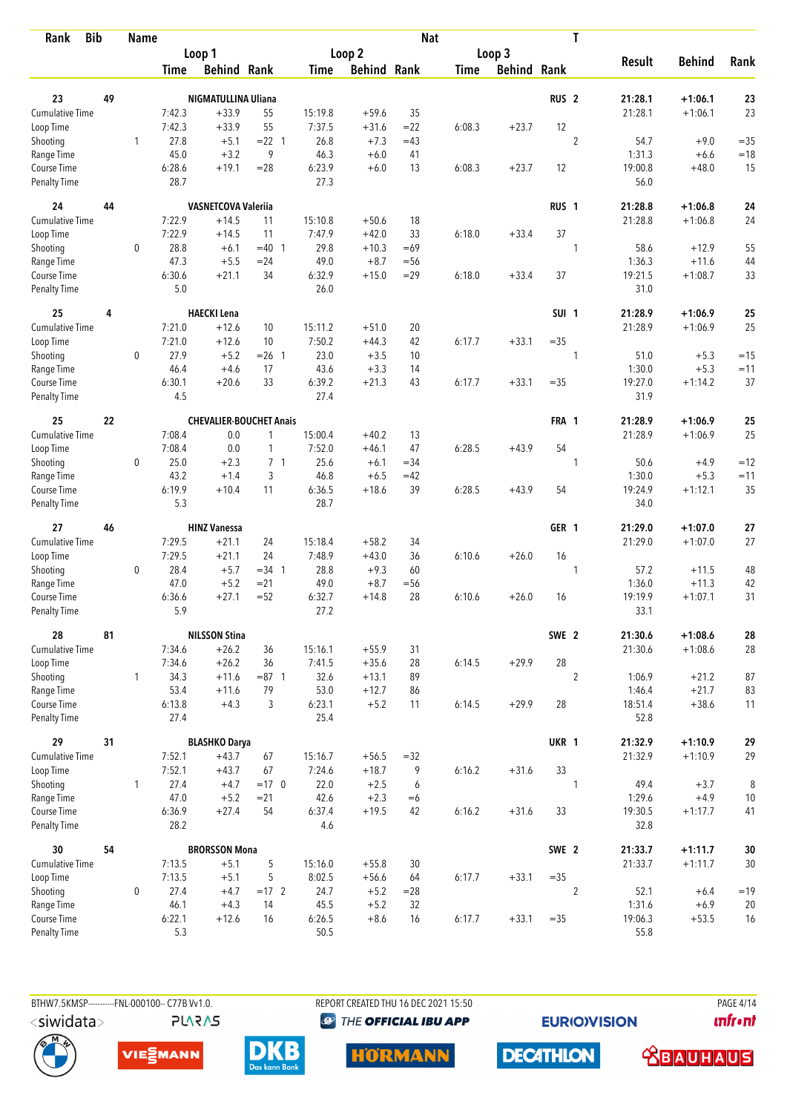| Rank                               | <b>Bib</b> | <b>Name</b>  |                |                                 |                  |                |                    | <b>Nat</b>   |             |                    |                  | T                        |                        |             |
|------------------------------------|------------|--------------|----------------|---------------------------------|------------------|----------------|--------------------|--------------|-------------|--------------------|------------------|--------------------------|------------------------|-------------|
|                                    |            |              |                | Loop 1                          |                  |                | Loop <sub>2</sub>  |              |             | Loop 3             |                  |                          |                        |             |
|                                    |            |              | <b>Time</b>    | <b>Behind Rank</b>              |                  | Time           | <b>Behind Rank</b> |              | <b>Time</b> | <b>Behind Rank</b> |                  | <b>Result</b>            | <b>Behind</b>          | Rank        |
| 23                                 | 49         |              |                | NIGMATULLINA Uliana             |                  |                |                    |              |             |                    | RUS <sub>2</sub> | 21:28.1                  | $+1:06.1$              | 23          |
| <b>Cumulative Time</b>             |            |              | 7:42.3         | $+33.9$                         | 55               | 15:19.8        | $+59.6$            | 35           |             |                    |                  | 21:28.1                  | $+1:06.1$              | 23          |
| Loop Time                          |            |              | 7:42.3         | $+33.9$                         | 55               | 7:37.5         | $+31.6$            | $= 22$       | 6:08.3      | $+23.7$            | 12               |                          |                        |             |
| Shooting                           |            | 1            | 27.8           | $+5.1$                          | $= 22$ 1         | 26.8           | $+7.3$             | $=43$        |             |                    |                  | $\overline{2}$<br>54.7   | $+9.0$                 | $=35$       |
| Range Time                         |            |              | 45.0           | $+3.2$                          | 9                | 46.3           | $+6.0$             | 41           |             |                    |                  | 1:31.3                   | $+6.6$                 | $=18$       |
| Course Time                        |            |              | 6:28.6         | $+19.1$                         | $= 28$           | 6:23.9         | $+6.0$             | 13           | 6:08.3      | $+23.7$            | 12               | 19:00.8                  | $+48.0$                | 15          |
| <b>Penalty Time</b>                |            |              | 28.7           |                                 |                  | 27.3           |                    |              |             |                    |                  | 56.0                     |                        |             |
| 24                                 | 44         |              |                | <b>VASNETCOVA Valeriia</b>      |                  |                |                    |              |             |                    | RUS <sub>1</sub> | 21:28.8                  | $+1:06.8$              | 24          |
| Cumulative Time                    |            |              | 7:22.9         | $+14.5$                         | 11               | 15:10.8        | $+50.6$            | 18           |             |                    |                  | 21:28.8                  | $+1:06.8$              | 24          |
| Loop Time                          |            |              | 7:22.9         | $+14.5$                         | 11               | 7:47.9         | $+42.0$            | 33           | 6:18.0      | $+33.4$            | 37               |                          |                        |             |
| Shooting                           |            | 0            | 28.8           | $+6.1$                          | $=40$ 1          | 29.8           | $+10.3$            | $=69$        |             |                    |                  | 58.6<br>1                | $+12.9$                | 55          |
| Range Time                         |            |              | 47.3           | $+5.5$                          | $= 24$           | 49.0           | $+8.7$             | $=$ 56       |             |                    |                  | 1:36.3                   | $+11.6$                | 44          |
| Course Time                        |            |              | 6:30.6         | $+21.1$                         | 34               | 6:32.9         | $+15.0$            | $=29$        | 6:18.0      | $+33.4$            | 37               | 19:21.5                  | $+1:08.7$              | 33          |
| Penalty Time                       |            |              | 5.0            |                                 |                  | 26.0           |                    |              |             |                    |                  | 31.0                     |                        |             |
| 25                                 | 4          |              |                | <b>HAECKI Lena</b>              |                  |                |                    |              |             |                    | SUI <sub>1</sub> | 21:28.9                  | $+1:06.9$              | 25          |
| <b>Cumulative Time</b>             |            |              | 7:21.0         | $+12.6$                         | 10               | 15:11.2        | $+51.0$            | 20           |             |                    |                  | 21:28.9                  | $+1:06.9$              | 25          |
| Loop Time                          |            |              | 7:21.0         | $+12.6$                         | 10               | 7:50.2         | $+44.3$            | 42           | 6:17.7      | $+33.1$            | $= 35$           |                          |                        |             |
| Shooting                           |            | 0            | 27.9           | $+5.2$                          | $= 26$ 1         | 23.0           | $+3.5$             | 10           |             |                    |                  | 51.0<br>1                | $+5.3$                 | $=15$       |
| Range Time<br>Course Time          |            |              | 46.4<br>6:30.1 | $+4.6$<br>$+20.6$               | 17<br>33         | 43.6<br>6:39.2 | $+3.3$<br>$+21.3$  | 14<br>43     | 6:17.7      | $+33.1$            | $= 35$           | 1:30.0<br>19:27.0        | $+5.3$<br>$+1:14.2$    | $=11$<br>37 |
| <b>Penalty Time</b>                |            |              | 4.5            |                                 |                  | 27.4           |                    |              |             |                    |                  | 31.9                     |                        |             |
| 25                                 | 22         |              |                | <b>CHEVALIER-BOUCHET Anais</b>  |                  |                |                    |              |             |                    | FRA 1            | 21:28.9                  | $+1:06.9$              | 25          |
| <b>Cumulative Time</b>             |            |              | 7:08.4         | 0.0                             | 1                | 15:00.4        | $+40.2$            | 13           |             |                    |                  | 21:28.9                  | $+1:06.9$              | 25          |
| Loop Time                          |            |              | 7:08.4         | 0.0                             | 1                | 7:52.0         | $+46.1$            | 47           | 6:28.5      | $+43.9$            | 54               |                          |                        |             |
| Shooting                           |            | 0            | 25.0           | $+2.3$                          | 7 <sub>1</sub>   | 25.6           | $+6.1$             | $=34$        |             |                    |                  | 50.6<br>1                | $+4.9$                 | $=12$       |
| Range Time                         |            |              | 43.2           | $+1.4$                          | 3                | 46.8           | $+6.5$             | $=42$        |             |                    |                  | 1:30.0                   | $+5.3$                 | $=11$       |
| Course Time<br><b>Penalty Time</b> |            |              | 6:19.9<br>5.3  | $+10.4$                         | 11               | 6:36.5<br>28.7 | $+18.6$            | 39           | 6:28.5      | $+43.9$            | 54               | 19:24.9<br>34.0          | $+1:12.1$              | 35          |
|                                    |            |              |                |                                 |                  |                |                    |              |             |                    |                  |                          |                        |             |
| 27                                 | 46         |              |                | <b>HINZ Vanessa</b>             |                  |                |                    |              |             |                    | GER 1            | 21:29.0                  | $+1:07.0$              | $27$        |
| <b>Cumulative Time</b>             |            |              | 7:29.5         | $+21.1$                         | 24               | 15:18.4        | $+58.2$            | 34           |             |                    |                  | 21:29.0                  | $+1:07.0$              | 27          |
| Loop Time                          |            |              | 7:29.5         | $+21.1$                         | 24               | 7:48.9         | $+43.0$            | 36           | 6:10.6      | $+26.0$            | 16               |                          |                        |             |
| Shooting                           |            | 0            | 28.4<br>47.0   | $+5.7$<br>$+5.2$                | $=34$ 1          | 28.8           | $+9.3$             | 60           |             |                    |                  | 57.2<br>1<br>1:36.0      | $+11.5$<br>$+11.3$     | 48          |
| Range Time<br>Course Time          |            |              | 6:36.6         | $+27.1$                         | $= 21$<br>$= 52$ | 49.0<br>6:32.7 | $+8.7$<br>$+14.8$  | $= 56$<br>28 | 6:10.6      | $+26.0$            | 16               | 19:19.9                  | $+1:07.1$              | 42<br>31    |
| <b>Penalty Time</b>                |            |              | 5.9            |                                 |                  | 27.2           |                    |              |             |                    |                  | 33.1                     |                        |             |
| 28                                 | 81         |              |                | <b>NILSSON Stina</b>            |                  |                |                    |              |             |                    | SWE 2            | 21:30.6                  | $+1:08.6$              | 28          |
| Cumulative Time                    |            |              | 7:34.6         | $+26.2$                         | 36               | 15:16.1        | $+55.9$            | 31           |             |                    |                  | 21:30.6                  | $+1:08.6$              | 28          |
| Loop Time                          |            |              | 7:34.6         | $+26.2$                         | 36               | 7:41.5         | $+35.6$            | 28           | 6:14.5      | $+29.9$            | 28               |                          |                        |             |
| Shooting                           |            | $\mathbf{1}$ | 34.3           | $+11.6$                         | $= 87.1$         | 32.6           | $+13.1$            | 89           |             |                    |                  | $\overline{2}$<br>1:06.9 | $+21.2$                | 87          |
| Range Time                         |            |              | 53.4           | $+11.6$                         | 79               | 53.0           | $+12.7$            | 86           |             |                    |                  | 1:46.4                   | $+21.7$                | 83          |
| Course Time<br>Penalty Time        |            |              | 6:13.8<br>27.4 | $+4.3$                          | 3                | 6:23.1<br>25.4 | $+5.2$             | 11           | 6:14.5      | $+29.9$            | 28               | 18:51.4<br>52.8          | $+38.6$                | 11          |
|                                    |            |              |                |                                 |                  |                |                    |              |             |                    |                  |                          |                        |             |
| 29<br><b>Cumulative Time</b>       | 31         |              | 7:52.1         | <b>BLASHKO Darya</b><br>$+43.7$ | 67               | 15:16.7        | $+56.5$            | $=32$        |             |                    | UKR 1            | 21:32.9<br>21:32.9       | $+1:10.9$<br>$+1:10.9$ | 29<br>29    |
| Loop Time                          |            |              | 7:52.1         | $+43.7$                         | 67               | 7:24.6         | $+18.7$            | 9            | 6:16.2      | $+31.6$            | 33               |                          |                        |             |
| Shooting                           |            | $\mathbf{1}$ | 27.4           | $+4.7$                          | $=17$ 0          | 22.0           | $+2.5$             | 6            |             |                    |                  | $\mathbf{1}$<br>49.4     | $+3.7$                 | 8           |
| Range Time                         |            |              | 47.0           | $+5.2$                          | $= 21$           | 42.6           | $+2.3$             | $=6$         |             |                    |                  | 1:29.6                   | $+4.9$                 | $10\,$      |
| Course Time                        |            |              | 6:36.9         | $+27.4$                         | 54               | 6:37.4         | $+19.5$            | 42           | 6:16.2      | $+31.6$            | 33               | 19:30.5                  | $+1:17.7$              | 41          |
| Penalty Time                       |            |              | 28.2           |                                 |                  | 4.6            |                    |              |             |                    |                  | 32.8                     |                        |             |
| 30                                 | 54         |              |                | <b>BRORSSON Mona</b>            |                  |                |                    |              |             |                    | SWE 2            | 21:33.7                  | $+1:11.7$              | 30          |
| Cumulative Time                    |            |              | 7:13.5         | $+5.1$                          | $\sqrt{5}$       | 15:16.0        | $+55.8$            | 30           |             |                    |                  | 21:33.7                  | $+1:11.7$              | 30          |
| Loop Time                          |            |              | 7:13.5         | $+5.1$                          | 5                | 8:02.5         | $+56.6$            | 64           | 6:17.7      | $+33.1$            | $=35$            |                          |                        |             |
| Shooting                           |            | 0            | 27.4           | $+4.7$                          | $=17$ 2          | 24.7           | $+5.2$             | $= 28$       |             |                    |                  | $\overline{2}$<br>52.1   | $+6.4$                 | $=19$       |
| Range Time                         |            |              | 46.1           | $+4.3$                          | 14               | 45.5           | $+5.2$             | 32           |             |                    |                  | 1:31.6                   | $+6.9$                 | 20          |
| Course Time                        |            |              | 6:22.1         | $+12.6$                         | 16               | 6:26.5         | $+8.6$             | 16           | 6:17.7      | $+33.1$            | $=35$            | 19:06.3                  | $+53.5$                | 16          |
| Penalty Time                       |            |              | 5.3            |                                 |                  | 50.5           |                    |              |             |                    |                  | 55.8                     |                        |             |

BTHW7.5KMSP-----------FNL-000100-- C77B Vv1.0. **PLARAS**  REPORT CREATED THU 16 DEC 2021 15:50 <sup><sup>9</sup> THE OFFICIAL IBU APP</sup>

**EURIOVISION** 

**PAGE 4/14** *<u><u>Infront</u>*</u>











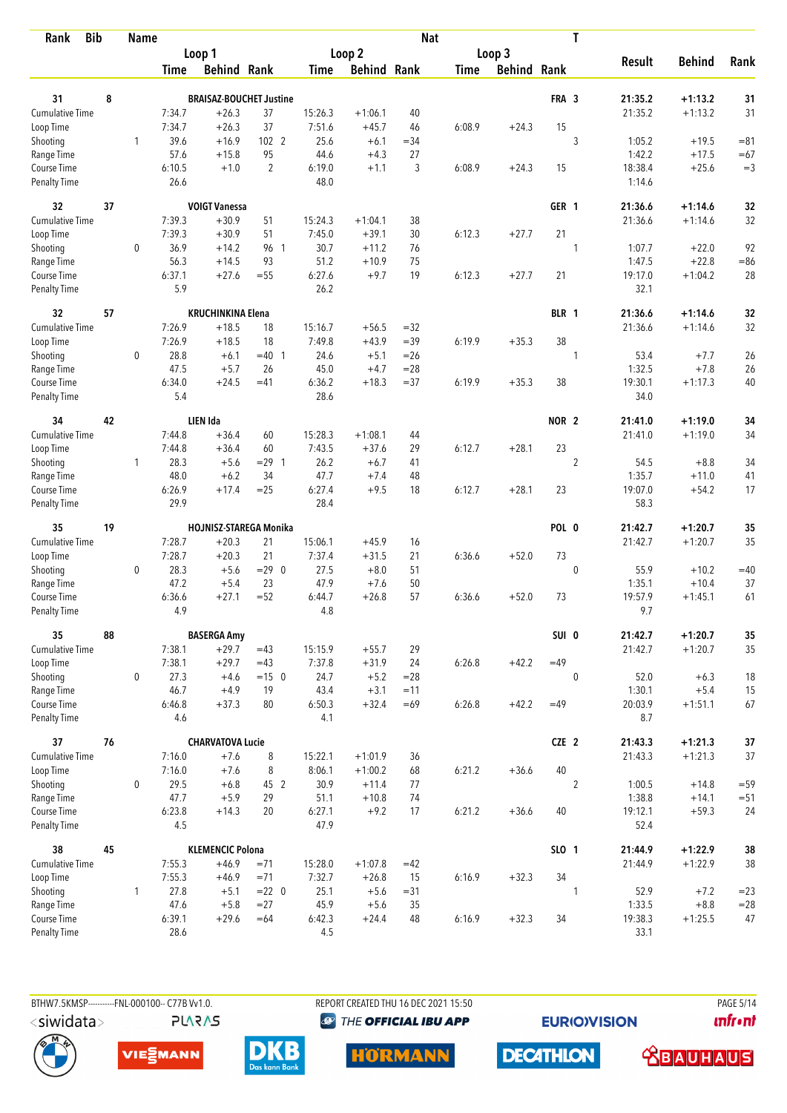| <b>Bib</b><br>Rank     |    | <b>Name</b>  |             |                                |                |                   |                    | <b>Nat</b> |             |                    |              | T              |               |               |          |
|------------------------|----|--------------|-------------|--------------------------------|----------------|-------------------|--------------------|------------|-------------|--------------------|--------------|----------------|---------------|---------------|----------|
|                        |    |              |             | Loop 1                         |                |                   | Loop 2             |            |             | Loop 3             |              |                |               |               |          |
|                        |    |              | <b>Time</b> | <b>Behind Rank</b>             |                | Time              | <b>Behind Rank</b> |            | <b>Time</b> | <b>Behind Rank</b> |              |                | <b>Result</b> | <b>Behind</b> | Rank     |
| 31                     | 8  |              |             | <b>BRAISAZ-BOUCHET Justine</b> |                |                   |                    |            |             |                    | FRA 3        |                | 21:35.2       | $+1:13.2$     |          |
| <b>Cumulative Time</b> |    |              | 7:34.7      |                                |                |                   |                    | 40         |             |                    |              |                | 21:35.2       | $+1:13.2$     | 31<br>31 |
|                        |    |              | 7:34.7      | $+26.3$                        | 37<br>37       | 15:26.3<br>7:51.6 | $+1:06.1$          | 46         | 6:08.9      |                    | 15           |                |               |               |          |
| Loop Time              |    | $\mathbf{1}$ | 39.6        | $+26.3$<br>$+16.9$             | 102 2          | 25.6              | $+45.7$<br>$+6.1$  | $=34$      |             | $+24.3$            |              | 3              | 1:05.2        | $+19.5$       | $= 81$   |
| Shooting<br>Range Time |    |              | 57.6        | $+15.8$                        | 95             | 44.6              | $+4.3$             | 27         |             |                    |              |                | 1:42.2        | $+17.5$       | $=67$    |
| Course Time            |    |              | 6:10.5      | $+1.0$                         | $\overline{2}$ | 6:19.0            | $+1.1$             | 3          | 6:08.9      | $+24.3$            | 15           |                | 18:38.4       | $+25.6$       | $=3$     |
| <b>Penalty Time</b>    |    |              | 26.6        |                                |                | 48.0              |                    |            |             |                    |              |                | 1:14.6        |               |          |
| 32                     | 37 |              |             | <b>VOIGT Vanessa</b>           |                |                   |                    |            |             |                    | GER 1        |                | 21:36.6       | $+1:14.6$     | 32       |
| Cumulative Time        |    |              | 7:39.3      | $+30.9$                        | 51             | 15:24.3           | $+1:04.1$          | 38         |             |                    |              |                | 21:36.6       | $+1:14.6$     | 32       |
| Loop Time              |    |              | 7:39.3      | $+30.9$                        | 51             | 7:45.0            | $+39.1$            | 30         | 6:12.3      | $+27.7$            | 21           |                |               |               |          |
| Shooting               |    | 0            | 36.9        | $+14.2$                        | 96 1           | 30.7              | $+11.2$            | 76         |             |                    |              | 1              | 1:07.7        | $+22.0$       | 92       |
| Range Time             |    |              | 56.3        | $+14.5$                        | 93             | 51.2              | $+10.9$            | 75         |             |                    |              |                | 1:47.5        | $+22.8$       | $= 86$   |
| Course Time            |    |              | 6:37.1      | $+27.6$                        | $=55$          | 6:27.6            | $+9.7$             | 19         | 6:12.3      | $+27.7$            | 21           |                | 19:17.0       | $+1:04.2$     | 28       |
| Penalty Time           |    |              | 5.9         |                                |                | 26.2              |                    |            |             |                    |              |                | 32.1          |               |          |
| 32                     | 57 |              |             | <b>KRUCHINKINA Elena</b>       |                |                   |                    |            |             |                    | BLR 1        |                | 21:36.6       | $+1:14.6$     | 32       |
| <b>Cumulative Time</b> |    |              | 7:26.9      | $+18.5$                        | 18             | 15:16.7           | $+56.5$            | $=32$      |             |                    |              |                | 21:36.6       | $+1:14.6$     | 32       |
| Loop Time              |    |              | 7:26.9      | $+18.5$                        | 18             | 7:49.8            | $+43.9$            | $=39$      | 6:19.9      | $+35.3$            | 38           |                |               |               |          |
| Shooting               |    | 0            | 28.8        | $+6.1$                         | $=40$ 1        | 24.6              | $+5.1$             | $=26$      |             |                    |              | 1              | 53.4          | $+7.7$        | 26       |
| Range Time             |    |              | 47.5        | $+5.7$                         | 26             | 45.0              | $+4.7$             | $= 28$     |             |                    |              |                | 1:32.5        | $+7.8$        | 26       |
| Course Time            |    |              | 6:34.0      | $+24.5$                        | $=41$          | 6:36.2            | $+18.3$            | $= 37$     | 6:19.9      | $+35.3$            | 38           |                | 19:30.1       | $+1:17.3$     | 40       |
| Penalty Time           |    |              | 5.4         |                                |                | 28.6              |                    |            |             |                    |              |                | 34.0          |               |          |
| 34                     | 42 |              |             | LIEN Ida                       |                |                   |                    |            |             |                    | <b>NOR 2</b> |                | 21:41.0       | $+1:19.0$     | 34       |
| Cumulative Time        |    |              | 7:44.8      | $+36.4$                        | 60             | 15:28.3           | $+1:08.1$          | 44         |             |                    |              |                | 21:41.0       | $+1:19.0$     | 34       |
| Loop Time              |    |              | 7:44.8      | $+36.4$                        | 60             | 7:43.5            | $+37.6$            | 29         | 6:12.7      | $+28.1$            | 23           |                |               |               |          |
| Shooting               |    | 1            | 28.3        | $+5.6$                         | $= 29$ 1       | 26.2              | $+6.7$             | 41         |             |                    |              | $\overline{2}$ | 54.5          | $+8.8$        | 34       |
| Range Time             |    |              | 48.0        | $+6.2$                         | 34             | 47.7              | $+7.4$             | 48         |             |                    |              |                | 1:35.7        | $+11.0$       | 41       |
| Course Time            |    |              | 6:26.9      | $+17.4$                        | $=25$          | 6:27.4            | $+9.5$             | 18         | 6:12.7      | $+28.1$            | 23           |                | 19:07.0       | $+54.2$       | 17       |
| <b>Penalty Time</b>    |    |              | 29.9        |                                |                | 28.4              |                    |            |             |                    |              |                | 58.3          |               |          |
| 35                     | 19 |              |             | HOJNISZ-STAREGA Monika         |                |                   |                    |            |             |                    | POL 0        |                | 21:42.7       | $+1:20.7$     | 35       |
| Cumulative Time        |    |              | 7:28.7      | $+20.3$                        | 21             | 15:06.1           | $+45.9$            | 16         |             |                    |              |                | 21:42.7       | $+1:20.7$     | 35       |
| Loop Time              |    |              | 7:28.7      | $+20.3$                        | 21             | 7:37.4            | $+31.5$            | 21         | 6:36.6      | $+52.0$            | 73           |                |               |               |          |
| Shooting               |    | 0            | 28.3        | $+5.6$                         | $= 29$ 0       | 27.5              | $+8.0$             | 51         |             |                    |              | $\mathbf 0$    | 55.9          | $+10.2$       | $=40$    |
| Range Time             |    |              | 47.2        | $+5.4$                         | 23             | 47.9              | $+7.6$             | 50         |             |                    |              |                | 1:35.1        | $+10.4$       | 37       |
| Course Time            |    |              | 6:36.6      | $+27.1$                        | $= 52$         | 6:44.7            | $+26.8$            | 57         | 6:36.6      | $+52.0$            | 73           |                | 19:57.9       | $+1:45.1$     | 61       |
| <b>Penalty Time</b>    |    |              | 4.9         |                                |                | 4.8               |                    |            |             |                    |              |                | 9.7           |               |          |
| 35                     | 88 |              |             | <b>BASERGA Amy</b>             |                |                   |                    |            |             |                    | SUI 0        |                | 21:42.7       | $+1:20.7$     | 35       |
| Cumulative Time        |    |              | 7:38.1      | $+29.7$                        | $=43$          | 15:15.9           | $+55.7$            | 29         |             |                    |              |                | 21:42.7       | $+1:20.7$     | 35       |
| Loop Time              |    |              | 7:38.1      | $+29.7$                        | $=43$          | 7:37.8            | $+31.9$            | 24         | 6:26.8      | $+42.2$            | $=49$        |                |               |               |          |
| Shooting               |    | 0            | 27.3        | $+4.6$                         | $=15$ 0        | 24.7              | $+5.2$             | $= 28$     |             |                    |              | $\mathbf{0}$   | 52.0          | $+6.3$        | 18       |
| Range Time             |    |              | 46.7        | $+4.9$                         | 19             | 43.4              | $+3.1$             | $=11$      |             |                    |              |                | 1:30.1        | $+5.4$        | 15       |
| Course Time            |    |              | 6:46.8      | $+37.3$                        | 80             | 6:50.3            | $+32.4$            | $=69$      | 6:26.8      | $+42.2$            | $=49$        |                | 20:03.9       | $+1:51.1$     | 67       |
| Penalty Time           |    |              | 4.6         |                                |                | 4.1               |                    |            |             |                    |              |                | 8.7           |               |          |
| 37                     | 76 |              |             | <b>CHARVATOVA Lucie</b>        |                |                   |                    |            |             |                    | CZE 2        |                | 21:43.3       | $+1:21.3$     | $37$     |
| <b>Cumulative Time</b> |    |              | 7:16.0      | $+7.6$                         | 8              | 15:22.1           | $+1:01.9$          | 36         |             |                    |              |                | 21:43.3       | $+1:21.3$     | 37       |
| Loop Time              |    |              | 7:16.0      | $+7.6$                         | 8              | 8:06.1            | $+1:00.2$          | 68         | 6:21.2      | $+36.6$            | 40           |                |               |               |          |
| Shooting               |    | 0            | 29.5        | $+6.8$                         | 45 2           | 30.9              | $+11.4$            | 77         |             |                    |              | $\overline{2}$ | 1:00.5        | $+14.8$       | $= 59$   |
| Range Time             |    |              | 47.7        | $+5.9$                         | 29             | 51.1              | $+10.8$            | 74         |             |                    |              |                | 1:38.8        | $+14.1$       | $= 51$   |
| Course Time            |    |              | 6:23.8      | $+14.3$                        | 20             | 6:27.1            | $+9.2$             | 17         | 6:21.2      | $+36.6$            | 40           |                | 19:12.1       | $+59.3$       | 24       |
| Penalty Time           |    |              | 4.5         |                                |                | 47.9              |                    |            |             |                    |              |                | 52.4          |               |          |
| 38                     | 45 |              |             | <b>KLEMENCIC Polona</b>        |                |                   |                    |            |             |                    | SLO 1        |                | 21:44.9       | $+1:22.9$     | 38       |
| Cumulative Time        |    |              | 7:55.3      | $+46.9$                        | $= 71$         | 15:28.0           | $+1:07.8$          | $=42$      |             |                    |              |                | 21:44.9       | $+1:22.9$     | 38       |
| Loop Time              |    |              | 7:55.3      | $+46.9$                        | $=71$          | 7:32.7            | $+26.8$            | 15         | 6:16.9      | $+32.3$            | 34           |                |               |               |          |
| Shooting               |    | $\mathbf{1}$ | 27.8        | $+5.1$                         | $= 22 \ 0$     | 25.1              | $+5.6$             | $= 31$     |             |                    |              | 1              | 52.9          | $+7.2$        | $= 23$   |
| Range Time             |    |              | 47.6        | $+5.8$                         | $= 27$         | 45.9              | $+5.6$             | 35         |             |                    |              |                | 1:33.5        | $+8.8$        | $= 28$   |
| Course Time            |    |              | 6:39.1      | $+29.6$                        | $=64$          | 6:42.3            | $+24.4$            | 48         | 6:16.9      | $+32.3$            | 34           |                | 19:38.3       | $+1:25.5$     | 47       |
| Penalty Time           |    |              | 28.6        |                                |                | 4.5               |                    |            |             |                    |              |                | 33.1          |               |          |

BTHW7.5KMSP-----------FNL-000100-- C77B Vv1.0. **PLARAS**  REPORT CREATED THU 16 DEC 2021 15:50

<sup><sup>9</sup> THE OFFICIAL IBU APP</sup>

**EURIOVISION** 

**PAGE 5/14** *<u><u>Infront</u>*</u>







**HORMANN** 

**DECATHLON** 

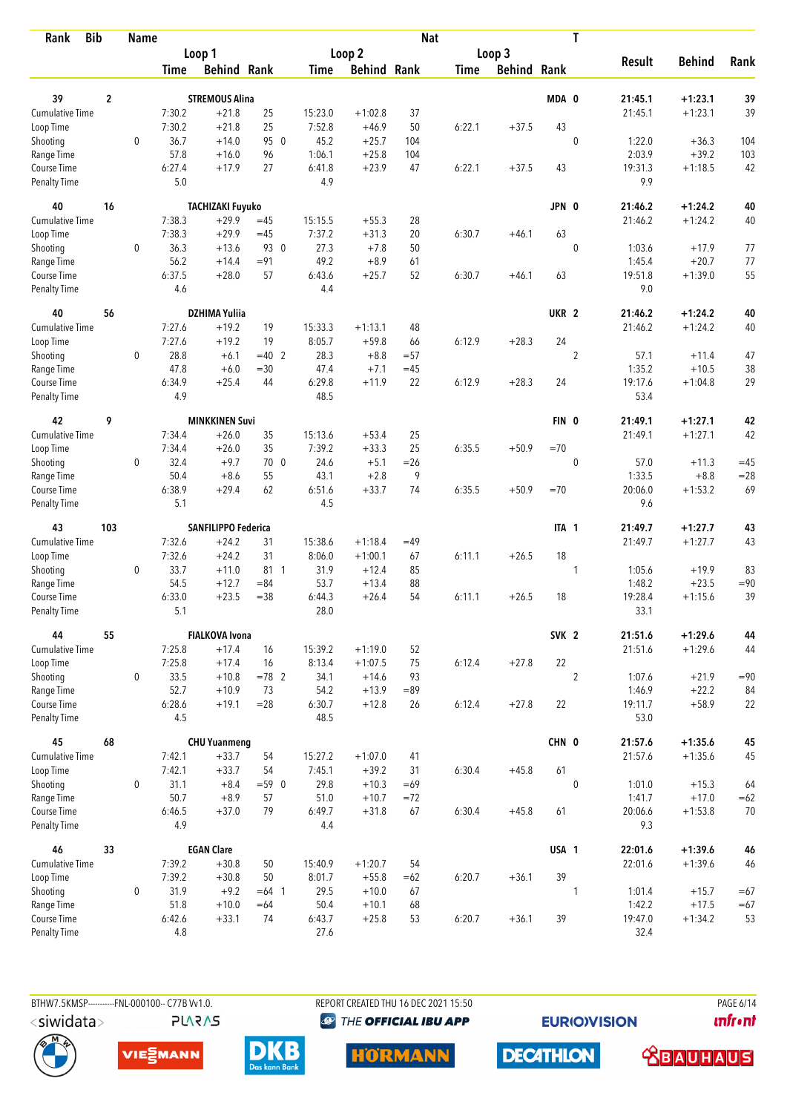| Rank                               | <b>Bib</b>     | <b>Name</b>  |                |                                  |                |                |                      | <b>Nat</b> |             |                    |                  | T              |                 |               |        |
|------------------------------------|----------------|--------------|----------------|----------------------------------|----------------|----------------|----------------------|------------|-------------|--------------------|------------------|----------------|-----------------|---------------|--------|
|                                    |                |              |                | Loop 1                           |                |                | Loop 2               |            |             | Loop 3             |                  |                |                 |               |        |
|                                    |                |              | <b>Time</b>    | <b>Behind Rank</b>               |                | Time           | <b>Behind Rank</b>   |            | <b>Time</b> | <b>Behind Rank</b> |                  |                | <b>Result</b>   | <b>Behind</b> | Rank   |
| 39                                 | $\overline{2}$ |              |                | <b>STREMOUS Alina</b>            |                |                |                      |            |             |                    | MDA 0            |                | 21:45.1         | $+1:23.1$     | 39     |
| <b>Cumulative Time</b>             |                |              | 7:30.2         | $+21.8$                          | 25             | 15:23.0        | $+1:02.8$            | 37         |             |                    |                  |                | 21:45.1         | $+1:23.1$     | 39     |
| Loop Time                          |                |              | 7:30.2         | $+21.8$                          | 25             | 7:52.8         | $+46.9$              | 50         | 6:22.1      | $+37.5$            | 43               |                |                 |               |        |
| Shooting                           |                | $\mathbf{0}$ | 36.7           | $+14.0$                          | 95 0           | 45.2           | $+25.7$              | 104        |             |                    |                  | $\mathbf 0$    | 1:22.0          | $+36.3$       | 104    |
| Range Time                         |                |              | 57.8           | $+16.0$                          | 96             | 1:06.1         | $+25.8$              | 104        |             |                    |                  |                | 2:03.9          | $+39.2$       | 103    |
| Course Time                        |                |              | 6:27.4         | $+17.9$                          | 27             | 6:41.8         | $+23.9$              | 47         | 6:22.1      | $+37.5$            | 43               |                | 19:31.3         | $+1:18.5$     | 42     |
| <b>Penalty Time</b>                |                |              | 5.0            |                                  |                | 4.9            |                      |            |             |                    |                  |                | 9.9             |               |        |
| 40                                 | 16             |              |                | <b>TACHIZAKI Fuyuko</b>          |                |                |                      |            |             |                    | JPN 0            |                | 21:46.2         | $+1:24.2$     | 40     |
| <b>Cumulative Time</b>             |                |              | 7:38.3         | $+29.9$                          | $=45$          | 15:15.5        | $+55.3$              | 28         |             |                    |                  |                | 21:46.2         | $+1:24.2$     | 40     |
| Loop Time                          |                |              | 7:38.3         | $+29.9$                          | $=45$          | 7:37.2         | $+31.3$              | 20         | 6:30.7      | $+46.1$            | 63               |                |                 |               |        |
| Shooting                           |                | 0            | 36.3           | $+13.6$                          | 93 0           | 27.3           | $+7.8$               | 50         |             |                    |                  | $\mathbf{0}$   | 1:03.6          | $+17.9$       | 77     |
| Range Time                         |                |              | 56.2           | $+14.4$                          | $= 91$         | 49.2           | $+8.9$               | 61         |             |                    |                  |                | 1:45.4          | $+20.7$       | 77     |
| Course Time                        |                |              | 6:37.5         | $+28.0$                          | 57             | 6:43.6         | $+25.7$              | 52         | 6:30.7      | $+46.1$            | 63               |                | 19:51.8         | $+1:39.0$     | 55     |
| <b>Penalty Time</b>                |                |              | 4.6            |                                  |                | 4.4            |                      |            |             |                    |                  |                | 9.0             |               |        |
| 40                                 | 56             |              |                | <b>DZHIMA Yuliia</b>             |                |                |                      |            |             |                    | UKR <sub>2</sub> |                | 21:46.2         | $+1:24.2$     | 40     |
| <b>Cumulative Time</b>             |                |              | 7:27.6         | $+19.2$                          | 19             | 15:33.3        | $+1:13.1$            | 48         |             |                    |                  |                | 21:46.2         | $+1:24.2$     | 40     |
| Loop Time                          |                |              | 7:27.6         | $+19.2$                          | 19             | 8:05.7         | $+59.8$              | 66         | 6:12.9      | $+28.3$            | 24               |                |                 |               |        |
| Shooting                           |                | $\mathbf 0$  | 28.8           | $+6.1$                           | $=40$ 2        | 28.3           | $+8.8$               | $= 57$     |             |                    |                  | $\sqrt{2}$     | 57.1            | $+11.4$       | 47     |
| Range Time                         |                |              | 47.8           | $+6.0$                           | $= 30$         | 47.4           | $+7.1$               | $=45$      |             |                    |                  |                | 1:35.2          | $+10.5$       | 38     |
| Course Time                        |                |              | 6:34.9         | $+25.4$                          | 44             | 6:29.8         | $+11.9$              | 22         | 6:12.9      | $+28.3$            | 24               |                | 19:17.6         | $+1:04.8$     | 29     |
| <b>Penalty Time</b>                |                |              | 4.9            |                                  |                | 48.5           |                      |            |             |                    |                  |                | 53.4            |               |        |
| 42                                 | 9              |              |                | <b>MINKKINEN Suvi</b>            |                |                |                      |            |             |                    | FIN 0            |                | 21:49.1         | $+1:27.1$     | 42     |
| <b>Cumulative Time</b>             |                |              | 7:34.4         | $+26.0$                          | 35             | 15:13.6        | $+53.4$              | 25         |             |                    |                  |                | 21:49.1         | $+1:27.1$     | 42     |
| Loop Time                          |                |              | 7:34.4         | $+26.0$                          | 35             | 7:39.2         | $+33.3$              | 25         | 6:35.5      | $+50.9$            | $=70$            |                |                 |               |        |
| Shooting                           |                | 0            | 32.4           | $+9.7$                           | 70 0           | 24.6           | $+5.1$               | $=26$      |             |                    |                  | $\mathbf 0$    | 57.0            | $+11.3$       | $=45$  |
| Range Time                         |                |              | 50.4           | $+8.6$                           | 55             | 43.1           | $+2.8$               | 9          |             |                    |                  |                | 1:33.5          | $+8.8$        | $= 28$ |
| Course Time                        |                |              | 6:38.9<br>5.1  | $+29.4$                          | 62             | 6:51.6<br>4.5  | $+33.7$              | 74         | 6:35.5      | $+50.9$            | $=70$            |                | 20:06.0<br>9.6  | $+1:53.2$     | 69     |
| <b>Penalty Time</b>                |                |              |                |                                  |                |                |                      |            |             |                    |                  |                |                 |               |        |
| 43                                 | 103            |              |                | SANFILIPPO Federica              |                |                |                      |            |             |                    | ITA 1            |                | 21:49.7         | $+1:27.7$     | 43     |
| <b>Cumulative Time</b>             |                |              | 7:32.6         | $+24.2$                          | 31             | 15:38.6        | $+1:18.4$            | $=49$      |             |                    |                  |                | 21:49.7         | $+1:27.7$     | 43     |
| Loop Time                          |                |              | 7:32.6         | $+24.2$                          | 31             | 8:06.0         | $+1:00.1$            | 67         | 6:11.1      | $+26.5$            | 18               |                |                 |               |        |
| Shooting                           |                | $\mathbf 0$  | 33.7           | $+11.0$                          | 81 1           | 31.9           | $+12.4$              | 85         |             |                    |                  | 1              | 1:05.6          | $+19.9$       | 83     |
| Range Time                         |                |              | 54.5           | $+12.7$                          | $= 84$         | 53.7           | $+13.4$              | 88         |             |                    |                  |                | 1:48.2          | $+23.5$       | $= 90$ |
| Course Time<br><b>Penalty Time</b> |                |              | 6:33.0<br>5.1  | $+23.5$                          | $= 38$         | 6:44.3<br>28.0 | $+26.4$              | 54         | 6:11.1      | $+26.5$            | 18               |                | 19:28.4<br>33.1 | $+1:15.6$     | 39     |
|                                    |                |              |                |                                  |                |                |                      |            |             |                    |                  |                |                 |               |        |
| 44<br>Cumulative Time              | 55             |              |                | <b>FIALKOVA Ivona</b><br>$+17.4$ |                | 15:39.2        |                      |            |             |                    | SVK <sub>2</sub> |                | 21:51.6         | $+1:29.6$     | 44     |
|                                    |                |              | 7:25.8         | $+17.4$                          | 16             |                | $+1:19.0$            | 52         |             |                    | 22               |                | 21:51.6         | $+1:29.6$     | 44     |
| Loop Time<br>Shooting              |                | $\mathbf{0}$ | 7:25.8<br>33.5 | $+10.8$                          | 16<br>$= 78$ 2 | 8:13.4<br>34.1 | $+1:07.5$<br>$+14.6$ | 75<br>93   | 6:12.4      | $+27.8$            |                  | $\overline{2}$ | 1:07.6          | $+21.9$       | $= 90$ |
| Range Time                         |                |              | 52.7           | $+10.9$                          | 73             | 54.2           | $+13.9$              | $=89$      |             |                    |                  |                | 1:46.9          | $+22.2$       | 84     |
| Course Time                        |                |              | 6:28.6         | $+19.1$                          | $= 28$         | 6:30.7         | $+12.8$              | 26         | 6:12.4      | $+27.8$            | 22               |                | 19:11.7         | $+58.9$       | 22     |
| Penalty Time                       |                |              | 4.5            |                                  |                | 48.5           |                      |            |             |                    |                  |                | 53.0            |               |        |
| 45                                 | 68             |              |                | <b>CHU Yuanmeng</b>              |                |                |                      |            |             |                    | CHN 0            |                | 21:57.6         | $+1:35.6$     | 45     |
| Cumulative Time                    |                |              | 7:42.1         | $+33.7$                          | 54             | 15:27.2        | $+1:07.0$            | 41         |             |                    |                  |                | 21:57.6         | $+1:35.6$     | 45     |
| Loop Time                          |                |              | 7:42.1         | $+33.7$                          | 54             | 7:45.1         | $+39.2$              | 31         | 6:30.4      | $+45.8$            | 61               |                |                 |               |        |
| Shooting                           |                | $\mathbf 0$  | 31.1           | $+8.4$                           | $= 59.0$       | 29.8           | $+10.3$              | $=69$      |             |                    |                  | $\mathbf 0$    | 1:01.0          | $+15.3$       | 64     |
| Range Time                         |                |              | 50.7           | $+8.9$                           | 57             | 51.0           | $+10.7$              | $= 72$     |             |                    |                  |                | 1:41.7          | $+17.0$       | $=62$  |
| Course Time                        |                |              | 6:46.5         | $+37.0$                          | 79             | 6:49.7         | $+31.8$              | 67         | 6:30.4      | $+45.8$            | 61               |                | 20:06.6         | $+1:53.8$     | 70     |
| <b>Penalty Time</b>                |                |              | 4.9            |                                  |                | 4.4            |                      |            |             |                    |                  |                | 9.3             |               |        |
| 46                                 | 33             |              |                | <b>EGAN Clare</b>                |                |                |                      |            |             |                    | USA 1            |                | 22:01.6         | $+1:39.6$     | 46     |
| Cumulative Time                    |                |              | 7:39.2         | $+30.8$                          | 50             | 15:40.9        | $+1:20.7$            | 54         |             |                    |                  |                | 22:01.6         | $+1:39.6$     | 46     |
| Loop Time                          |                |              | 7:39.2         | $+30.8$                          | 50             | 8:01.7         | $+55.8$              | $=62$      | 6:20.7      | $+36.1$            | 39               |                |                 |               |        |
| Shooting                           |                | $\mathbf 0$  | 31.9           | $+9.2$                           | $=64$ 1        | 29.5           | $+10.0$              | 67         |             |                    |                  | 1              | 1:01.4          | $+15.7$       | $=67$  |
| Range Time                         |                |              | 51.8           | $+10.0$                          | $=64$          | 50.4           | $+10.1$              | 68         |             |                    |                  |                | 1:42.2          | $+17.5$       | $=67$  |
| Course Time                        |                |              | 6:42.6         | $+33.1$                          | 74             | 6:43.7         | $+25.8$              | 53         | 6:20.7      | $+36.1$            | 39               |                | 19:47.0         | $+1:34.2$     | 53     |
| <b>Penalty Time</b>                |                |              | 4.8            |                                  |                | 27.6           |                      |            |             |                    |                  |                | 32.4            |               |        |



**PLARAS** 

BTHW7.5KMSP----------FNL-000100-- C77B Vv1.0. REPORT CREATED THU 16 DEC 2021 15:50 PAGE 6/14 <sup><sup>9</sup> THE OFFICIAL IBU APP</sup>

**EURIOVISION** 

**DECATHLON** 

*<u><u>Infront</u>*</u>









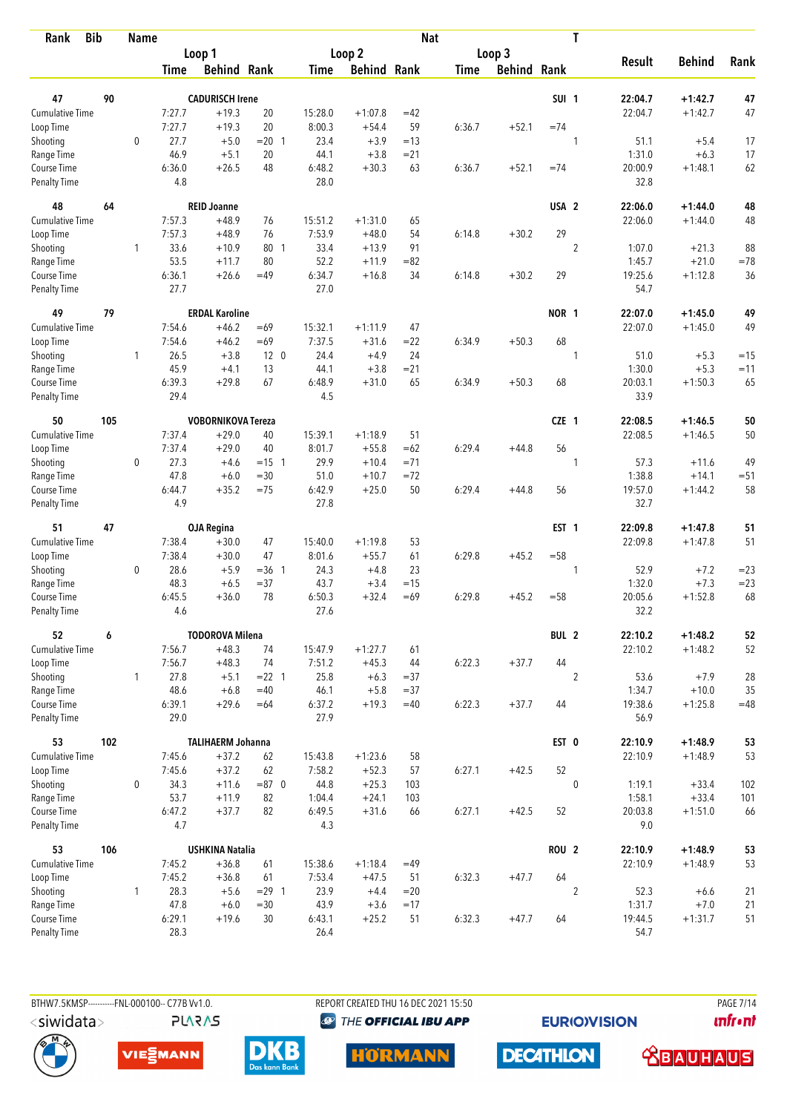| <b>Bib</b><br>Rank                 |     | <b>Name</b>  |                |                           |                 |                |                    | <b>Nat</b> |             |                    |                  | T              |                 |               |        |
|------------------------------------|-----|--------------|----------------|---------------------------|-----------------|----------------|--------------------|------------|-------------|--------------------|------------------|----------------|-----------------|---------------|--------|
|                                    |     |              |                | Loop 1                    |                 |                | Loop 2             |            |             | Loop 3             |                  |                |                 |               |        |
|                                    |     |              | <b>Time</b>    | <b>Behind Rank</b>        |                 | Time           | <b>Behind Rank</b> |            | <b>Time</b> | <b>Behind Rank</b> |                  |                | <b>Result</b>   | <b>Behind</b> | Rank   |
| 47                                 | 90  |              |                | <b>CADURISCH Irene</b>    |                 |                |                    |            |             |                    | SUI <sub>1</sub> |                | 22:04.7         | $+1:42.7$     | 47     |
| <b>Cumulative Time</b>             |     |              | 7:27.7         | $+19.3$                   | 20              | 15:28.0        | $+1:07.8$          | $=42$      |             |                    |                  |                | 22:04.7         | $+1:42.7$     | 47     |
| Loop Time                          |     |              | 7:27.7         | $+19.3$                   | 20              | 8:00.3         | $+54.4$            | 59         | 6:36.7      | $+52.1$            | $=74$            |                |                 |               |        |
| Shooting                           |     | $\mathbf 0$  | 27.7           | $+5.0$                    | $= 20$ 1        | 23.4           | $+3.9$             | $=13$      |             |                    |                  | 1              | 51.1            | $+5.4$        | 17     |
| Range Time                         |     |              | 46.9           | $+5.1$                    | 20              | 44.1           | $+3.8$             | $= 21$     |             |                    |                  |                | 1:31.0          | $+6.3$        | 17     |
| Course Time                        |     |              | 6:36.0         | $+26.5$                   | 48              | 6:48.2         | $+30.3$            | 63         | 6:36.7      | $+52.1$            | $=74$            |                | 20:00.9         | $+1:48.1$     | 62     |
| <b>Penalty Time</b>                |     |              | 4.8            |                           |                 | 28.0           |                    |            |             |                    |                  |                | 32.8            |               |        |
| 48                                 | 64  |              |                | <b>REID Joanne</b>        |                 |                |                    |            |             |                    | USA <sub>2</sub> |                | 22:06.0         | $+1:44.0$     | 48     |
| Cumulative Time                    |     |              | 7:57.3         | $+48.9$                   | 76              | 15:51.2        | $+1:31.0$          | 65         |             |                    |                  |                | 22:06.0         | $+1:44.0$     | 48     |
| Loop Time                          |     |              | 7:57.3         | $+48.9$                   | 76              | 7:53.9         | $+48.0$            | 54         | 6:14.8      | $+30.2$            | 29               |                |                 |               |        |
| Shooting                           |     | 1            | 33.6           | $+10.9$                   | 80 1            | 33.4           | $+13.9$            | 91         |             |                    |                  | $\overline{2}$ | 1:07.0          | $+21.3$       | 88     |
| Range Time                         |     |              | 53.5           | $+11.7$                   | 80              | 52.2           | $+11.9$            | $= 82$     |             |                    |                  |                | 1:45.7          | $+21.0$       | $=78$  |
| Course Time                        |     |              | 6:36.1         | $+26.6$                   | $=49$           | 6:34.7         | $+16.8$            | 34         | 6:14.8      | $+30.2$            | 29               |                | 19:25.6         | $+1:12.8$     | 36     |
| Penalty Time                       |     |              | 27.7           |                           |                 | 27.0           |                    |            |             |                    |                  |                | 54.7            |               |        |
| 49                                 | 79  |              |                | <b>ERDAL Karoline</b>     |                 |                |                    |            |             |                    | NOR 1            |                | 22:07.0         | $+1:45.0$     | 49     |
| Cumulative Time                    |     |              | 7:54.6         | $+46.2$                   | $=69$           | 15:32.1        | $+1:11.9$          | 47         |             |                    |                  |                | 22:07.0         | $+1:45.0$     | 49     |
| Loop Time                          |     |              | 7:54.6         | $+46.2$                   | $=69$           | 7:37.5         | $+31.6$            | $= 22$     | 6:34.9      | $+50.3$            | 68               |                |                 |               |        |
| Shooting                           |     | $\mathbf{1}$ | 26.5           | $+3.8$                    | 12 <sub>0</sub> | 24.4           | $+4.9$             | 24         |             |                    |                  | 1              | 51.0            | $+5.3$        | $=15$  |
| Range Time                         |     |              | 45.9           | $+4.1$                    | 13              | 44.1           | $+3.8$             | $= 21$     |             |                    |                  |                | 1:30.0          | $+5.3$        | $=11$  |
| Course Time<br>Penalty Time        |     |              | 6:39.3<br>29.4 | $+29.8$                   | 67              | 6:48.9<br>4.5  | $+31.0$            | 65         | 6:34.9      | $+50.3$            | 68               |                | 20:03.1<br>33.9 | $+1:50.3$     | 65     |
| 50                                 | 105 |              |                | <b>VOBORNIKOVA Tereza</b> |                 |                |                    |            |             |                    | $CZE$ 1          |                | 22:08.5         | $+1:46.5$     | 50     |
| <b>Cumulative Time</b>             |     |              | 7:37.4         | $+29.0$                   | 40              | 15:39.1        | $+1:18.9$          | 51         |             |                    |                  |                | 22:08.5         | $+1:46.5$     | 50     |
| Loop Time                          |     |              | 7:37.4         | $+29.0$                   | 40              | 8:01.7         | $+55.8$            | $=62$      | 6:29.4      | $+44.8$            | 56               |                |                 |               |        |
| Shooting                           |     | 0            | 27.3           | $+4.6$                    | $= 15 \quad 1$  | 29.9           | $+10.4$            | $= 71$     |             |                    |                  | 1              | 57.3            | $+11.6$       | 49     |
| Range Time                         |     |              | 47.8           | $+6.0$                    | $= 30$          | 51.0           | $+10.7$            | $= 72$     |             |                    |                  |                | 1:38.8          | $+14.1$       | $= 51$ |
| Course Time                        |     |              | 6:44.7         | $+35.2$                   | $=75$           | 6:42.9         | $+25.0$            | 50         | 6:29.4      | $+44.8$            | 56               |                | 19:57.0         | $+1:44.2$     | 58     |
| <b>Penalty Time</b>                |     |              | 4.9            |                           |                 | 27.8           |                    |            |             |                    |                  |                | 32.7            |               |        |
| 51                                 | 47  |              |                | <b>OJA Regina</b>         |                 |                |                    |            |             |                    | EST <sub>1</sub> |                | 22:09.8         | $+1:47.8$     | 51     |
| Cumulative Time                    |     |              | 7:38.4         | $+30.0$                   | 47              | 15:40.0        | $+1:19.8$          | 53         |             |                    |                  |                | 22:09.8         | $+1:47.8$     | 51     |
| Loop Time                          |     |              | 7:38.4         | $+30.0$                   | 47              | 8:01.6         | $+55.7$            | 61         | 6:29.8      | $+45.2$            | $= 58$           |                |                 |               |        |
| Shooting                           |     | 0            | 28.6           | $+5.9$                    | $=36$ 1         | 24.3           | $+4.8$             | 23         |             |                    |                  | 1              | 52.9            | $+7.2$        | $= 23$ |
| Range Time                         |     |              | 48.3           | $+6.5$                    | $= 37$          | 43.7           | $+3.4$             | $=15$      |             |                    |                  |                | 1:32.0          | $+7.3$        | $= 23$ |
| Course Time<br><b>Penalty Time</b> |     |              | 6:45.5<br>4.6  | $+36.0$                   | 78              | 6:50.3<br>27.6 | $+32.4$            | $=69$      | 6:29.8      | $+45.2$            | $= 58$           |                | 20:05.6<br>32.2 | $+1:52.8$     | 68     |
| 52                                 | 6   |              |                | <b>TODOROVA Milena</b>    |                 |                |                    |            |             |                    | BUL 2            |                | 22:10.2         | $+1:48.2$     | 52     |
| Cumulative Time                    |     |              | 7:56.7         | $+48.3$                   | 74              | 15:47.9        | $+1:27.7$          | 61         |             |                    |                  |                | 22:10.2         | $+1:48.2$     | 52     |
| Loop Time                          |     |              | 7:56.7         | $+48.3$                   | 74              | 7:51.2         | $+45.3$            | 44         | 6:22.3      | $+37.7$            | 44               |                |                 |               |        |
| Shooting                           |     | $\mathbf{1}$ | 27.8           | $+5.1$                    | $= 22 \quad 1$  | 25.8           | $+6.3$             | $= 37$     |             |                    |                  | $\overline{2}$ | 53.6            | $+7.9$        | 28     |
| Range Time                         |     |              | 48.6           | $+6.8$                    | $=40$           | 46.1           | $+5.8$             | $=37$      |             |                    |                  |                | 1:34.7          | $+10.0$       | 35     |
| Course Time                        |     |              | 6:39.1         | $+29.6$                   | $=64$           | 6:37.2         | $+19.3$            | $=40$      | 6:22.3      | $+37.7$            | 44               |                | 19:38.6         | $+1:25.8$     | $=48$  |
| Penalty Time                       |     |              | 29.0           |                           |                 | 27.9           |                    |            |             |                    |                  |                | 56.9            |               |        |
| 53                                 | 102 |              |                | <b>TALIHAERM Johanna</b>  |                 |                |                    |            |             |                    | EST 0            |                | 22:10.9         | $+1:48.9$     | 53     |
| <b>Cumulative Time</b>             |     |              | 7:45.6         | $+37.2$                   | 62              | 15:43.8        | $+1:23.6$          | 58         |             |                    |                  |                | 22:10.9         | $+1:48.9$     | 53     |
| Loop Time                          |     |              | 7:45.6         | $+37.2$                   | 62              | 7:58.2         | $+52.3$            | 57         | 6:27.1      | $+42.5$            | 52               |                |                 |               |        |
| Shooting                           |     | 0            | 34.3           | $+11.6$                   | $= 870$         | 44.8           | $+25.3$            | 103        |             |                    |                  | $\pmb{0}$      | 1:19.1          | $+33.4$       | 102    |
| Range Time                         |     |              | 53.7           | $+11.9$                   | 82              | 1:04.4         | $+24.1$            | 103        |             |                    |                  |                | 1:58.1          | $+33.4$       | 101    |
| Course Time<br>Penalty Time        |     |              | 6:47.2<br>4.7  | $+37.7$                   | 82              | 6:49.5<br>4.3  | $+31.6$            | 66         | 6:27.1      | $+42.5$            | 52               |                | 20:03.8<br>9.0  | $+1:51.0$     | 66     |
| 53                                 | 106 |              |                | <b>USHKINA Natalia</b>    |                 |                |                    |            |             |                    | <b>ROU 2</b>     |                | 22:10.9         | $+1:48.9$     | 53     |
| Cumulative Time                    |     |              | 7:45.2         | $+36.8$                   | 61              | 15:38.6        | $+1:18.4$          | $=49$      |             |                    |                  |                | 22:10.9         | $+1:48.9$     | 53     |
| Loop Time                          |     |              | 7:45.2         | $+36.8$                   | 61              | 7:53.4         | $+47.5$            | 51         | 6:32.3      | $+47.7$            | 64               |                |                 |               |        |
| Shooting                           |     | $\mathbf{1}$ | 28.3           | $+5.6$                    | $= 29$ 1        | 23.9           | $+4.4$             | $=20$      |             |                    |                  | $\overline{2}$ | 52.3            | $+6.6$        | 21     |
| Range Time                         |     |              | 47.8           | $+6.0$                    | $= 30$          | 43.9           | $+3.6$             | $=17$      |             |                    |                  |                | 1:31.7          | $+7.0$        | 21     |
| Course Time                        |     |              | 6:29.1         | $+19.6$                   | 30              | 6:43.1         | $+25.2$            | 51         | 6:32.3      | $+47.7$            | 64               |                | 19:44.5         | $+1:31.7$     | 51     |
| <b>Penalty Time</b>                |     |              | 28.3           |                           |                 | 26.4           |                    |            |             |                    |                  |                | 54.7            |               |        |

**PLARAS** 

BTHW7.5KMSP----------FNL-000100-- C77B Vv1.0. REPORT CREATED THU 16 DEC 2021 15:50 PAGE 7/14 <sup><sup>9</sup> THE OFFICIAL IBU APP</sup>

**EURIOVISION** 

*<u><u>Infront</u>*</u>









**DECATHLON**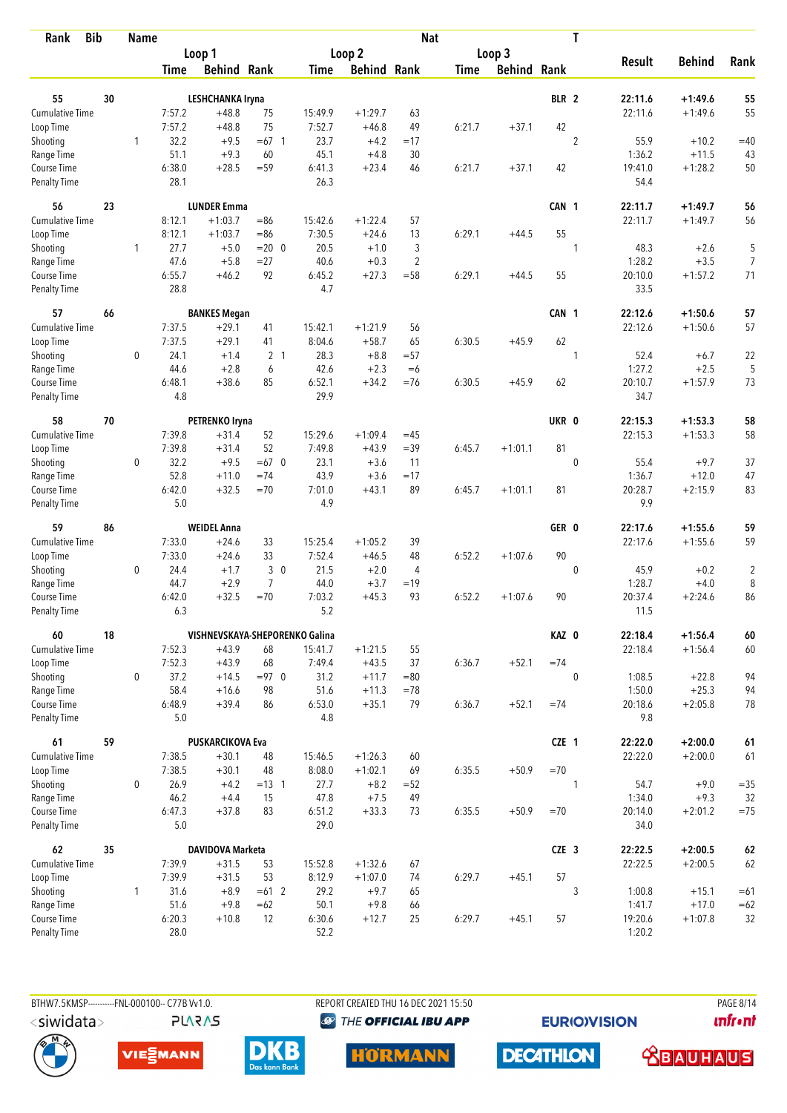| <b>Bib</b><br>Rank          |    | <b>Name</b>  |               |                                |                |               |                    | <b>Nat</b>     |             |                    |                  | T              |                |               |                |
|-----------------------------|----|--------------|---------------|--------------------------------|----------------|---------------|--------------------|----------------|-------------|--------------------|------------------|----------------|----------------|---------------|----------------|
|                             |    |              |               | Loop 1                         |                |               | Loop 2             |                |             | Loop 3             |                  |                |                |               |                |
|                             |    |              | Time          | <b>Behind Rank</b>             |                | Time          | <b>Behind Rank</b> |                | <b>Time</b> | <b>Behind Rank</b> |                  |                | <b>Result</b>  | <b>Behind</b> | Rank           |
| 55                          | 30 |              |               | <b>LESHCHANKA Iryna</b>        |                |               |                    |                |             |                    | BLR <sub>2</sub> |                | 22:11.6        | $+1:49.6$     | 55             |
| <b>Cumulative Time</b>      |    |              | 7:57.2        | $+48.8$                        | 75             | 15:49.9       | $+1:29.7$          | 63             |             |                    |                  |                | 22:11.6        | $+1:49.6$     | 55             |
| Loop Time                   |    |              | 7:57.2        | $+48.8$                        | 75             | 7:52.7        | $+46.8$            | 49             | 6:21.7      | $+37.1$            | 42               |                |                |               |                |
| Shooting                    |    | $\mathbf{1}$ | 32.2          | $+9.5$                         | $=67$ 1        | 23.7          | $+4.2$             | $=17$          |             |                    |                  | $\overline{2}$ | 55.9           | $+10.2$       | $=40$          |
| Range Time                  |    |              | 51.1          | $+9.3$                         | 60             | 45.1          | $+4.8$             | 30             |             |                    |                  |                | 1:36.2         | $+11.5$       | 43             |
| Course Time                 |    |              | 6:38.0        | $+28.5$                        | $= 59$         | 6:41.3        | $+23.4$            | 46             | 6:21.7      | $+37.1$            | 42               |                | 19:41.0        | $+1:28.2$     | 50             |
| <b>Penalty Time</b>         |    |              | 28.1          |                                |                | 26.3          |                    |                |             |                    |                  |                | 54.4           |               |                |
| 56                          | 23 |              |               | <b>LUNDER Emma</b>             |                |               |                    |                |             |                    | CAN 1            |                | 22:11.7        | $+1:49.7$     | 56             |
| Cumulative Time             |    |              | 8:12.1        | $+1:03.7$                      | $= 86$         | 15:42.6       | $+1:22.4$          | 57             |             |                    |                  |                | 22:11.7        | $+1:49.7$     | 56             |
| Loop Time                   |    |              | 8:12.1        | $+1:03.7$                      | $= 86$         | 7:30.5        | $+24.6$            | 13             | 6:29.1      | $+44.5$            | 55               |                |                |               |                |
| Shooting                    |    | 1            | 27.7          | $+5.0$                         | $= 20 \ 0$     | 20.5          | $+1.0$             | 3              |             |                    |                  | $\mathbf{1}$   | 48.3           | $+2.6$        | 5              |
| Range Time                  |    |              | 47.6          | $+5.8$                         | $= 27$         | 40.6          | $+0.3$             | $\overline{2}$ |             |                    |                  |                | 1:28.2         | $+3.5$        | $\overline{7}$ |
| Course Time                 |    |              | 6:55.7        | $+46.2$                        | 92             | 6:45.2        | $+27.3$            | $=58$          | 6:29.1      | $+44.5$            | 55               |                | 20:10.0        | $+1:57.2$     | 71             |
| Penalty Time                |    |              | 28.8          |                                |                | 4.7           |                    |                |             |                    |                  |                | 33.5           |               |                |
| 57                          | 66 |              |               | <b>BANKES Megan</b>            |                |               |                    |                |             |                    | CAN 1            |                | 22:12.6        | $+1:50.6$     | 57             |
| Cumulative Time             |    |              | 7:37.5        | $+29.1$                        | 41             | 15:42.1       | $+1:21.9$          | 56             |             |                    |                  |                | 22:12.6        | $+1:50.6$     | 57             |
| Loop Time                   |    |              | 7:37.5        | $+29.1$                        | 41             | 8:04.6        | $+58.7$            | 65             | 6:30.5      | $+45.9$            | 62               |                |                |               |                |
| Shooting                    |    | 0            | 24.1          | $+1.4$                         | 2 <sub>1</sub> | 28.3          | $+8.8$             | $= 57$         |             |                    |                  | 1              | 52.4           | $+6.7$        | 22             |
| Range Time                  |    |              | 44.6          | $+2.8$                         | 6              | 42.6          | $+2.3$             | $=6$           |             |                    |                  |                | 1:27.2         | $+2.5$        | 5              |
| Course Time                 |    |              | 6:48.1        | $+38.6$                        | 85             | 6:52.1        | $+34.2$            | $=76$          | 6:30.5      | $+45.9$            | 62               |                | 20:10.7        | $+1:57.9$     | 73             |
| <b>Penalty Time</b>         |    |              | 4.8           |                                |                | 29.9          |                    |                |             |                    |                  |                | 34.7           |               |                |
| 58                          | 70 |              |               | PETRENKO Iryna                 |                |               |                    |                |             |                    | UKR 0            |                | 22:15.3        | $+1:53.3$     | 58             |
| <b>Cumulative Time</b>      |    |              | 7:39.8        | $+31.4$                        | 52             | 15:29.6       | $+1:09.4$          | $=45$          |             |                    |                  |                | 22:15.3        | $+1:53.3$     | 58             |
| Loop Time                   |    |              | 7:39.8        | $+31.4$                        | 52             | 7:49.8        | $+43.9$            | $=39$          | 6:45.7      | $+1:01.1$          | 81               |                |                |               |                |
| Shooting                    |    | 0            | 32.2          | $+9.5$                         | $=67$ 0        | 23.1          | $+3.6$             | 11             |             |                    |                  | $\mathbf{0}$   | 55.4           | $+9.7$        | 37             |
| Range Time                  |    |              | 52.8          | $+11.0$                        | $=74$          | 43.9          | $+3.6$             | $=17$          |             |                    |                  |                | 1:36.7         | $+12.0$       | 47             |
| Course Time                 |    |              | 6:42.0        | $+32.5$                        | $=70$          | 7:01.0        | $+43.1$            | 89             | 6:45.7      | $+1:01.1$          | 81               |                | 20:28.7        | $+2:15.9$     | 83             |
| <b>Penalty Time</b>         |    |              | 5.0           |                                |                | 4.9           |                    |                |             |                    |                  |                | 9.9            |               |                |
| 59                          | 86 |              |               | <b>WEIDEL Anna</b>             |                |               |                    |                |             |                    | GER 0            |                | 22:17.6        | $+1:55.6$     | 59             |
| Cumulative Time             |    |              | 7:33.0        | $+24.6$                        | 33             | 15:25.4       | $+1:05.2$          | 39             |             |                    |                  |                | 22:17.6        | $+1:55.6$     | 59             |
| Loop Time                   |    |              | 7:33.0        | $+24.6$                        | 33             | 7:52.4        | $+46.5$            | 48             | 6:52.2      | $+1:07.6$          | 90               |                |                |               |                |
| Shooting                    |    | 0            | 24.4          | $+1.7$                         | 30             | 21.5          | $+2.0$             | 4              |             |                    |                  | $\mathbf 0$    | 45.9           | $+0.2$        | $\overline{c}$ |
| Range Time                  |    |              | 44.7          | $+2.9$                         | $\overline{7}$ | 44.0          | $+3.7$             | $=19$          |             |                    |                  |                | 1:28.7         | $+4.0$        | 8              |
| Course Time                 |    |              | 6:42.0        | $+32.5$                        | $=70$          | 7:03.2        | $+45.3$            | 93             | 6:52.2      | $+1:07.6$          | 90               |                | 20:37.4        | $+2:24.6$     | 86             |
| <b>Penalty Time</b>         |    |              | 6.3           |                                |                | 5.2           |                    |                |             |                    |                  |                | 11.5           |               |                |
| 60                          | 18 |              |               | VISHNEVSKAYA-SHEPORENKO Galina |                |               |                    |                |             |                    | KAZ 0            |                | 22:18.4        | $+1:56.4$     | 60             |
| Cumulative Time             |    |              | 7:52.3        | $+43.9$                        | 68             | 15:41.7       | $+1:21.5$          | 55             |             |                    |                  |                | 22:18.4        | $+1:56.4$     | 60             |
| Loop Time                   |    |              | 7:52.3        | $+43.9$                        | 68             | 7:49.4        | $+43.5$            | 37             | 6:36.7      | $+52.1$            | $=74$            |                |                |               |                |
| Shooting                    |    | 0            | 37.2          | $+14.5$                        | $= 97$ 0       | 31.2          | $+11.7$            | $= 80$         |             |                    |                  | $\mathbf{0}$   | 1:08.5         | $+22.8$       | 94             |
| Range Time                  |    |              | 58.4          | $+16.6$                        | 98             | 51.6          | $+11.3$            | $= 78$         |             |                    |                  |                | 1:50.0         | $+25.3$       | 94             |
| Course Time<br>Penalty Time |    |              | 6:48.9<br>5.0 | $+39.4$                        | 86             | 6:53.0<br>4.8 | $+35.1$            | 79             | 6:36.7      | $+52.1$            | $=74$            |                | 20:18.6<br>9.8 | $+2:05.8$     | 78             |
| 61                          | 59 |              |               | <b>PUSKARCIKOVA Eva</b>        |                |               |                    |                |             |                    | CZE 1            |                | 22:22.0        | $+2:00.0$     | $61\,$         |
| <b>Cumulative Time</b>      |    |              | 7:38.5        | $+30.1$                        | 48             | 15:46.5       | $+1:26.3$          | 60             |             |                    |                  |                | 22:22.0        | $+2:00.0$     | 61             |
| Loop Time                   |    |              | 7:38.5        | $+30.1$                        | 48             | 8:08.0        | $+1:02.1$          | 69             | 6:35.5      | $+50.9$            | $=70$            |                |                |               |                |
| Shooting                    |    | 0            | 26.9          | $+4.2$                         | $= 13 \quad 1$ | 27.7          | $+8.2$             | $=52$          |             |                    |                  | 1              | 54.7           | $+9.0$        | $= 35$         |
| Range Time                  |    |              | 46.2          | $+4.4$                         | 15             | 47.8          | $+7.5$             | 49             |             |                    |                  |                | 1:34.0         | $+9.3$        | 32             |
| Course Time                 |    |              | 6:47.3        | $+37.8$                        | 83             | 6:51.2        | $+33.3$            | 73             | 6:35.5      | $+50.9$            | $=70$            |                | 20:14.0        | $+2:01.2$     | $= 75$         |
| Penalty Time                |    |              | $5.0\,$       |                                |                | 29.0          |                    |                |             |                    |                  |                | 34.0           |               |                |
| 62                          | 35 |              |               | DAVIDOVA Marketa               |                |               |                    |                |             |                    | CZE <sub>3</sub> |                | 22:22.5        | $+2:00.5$     | 62             |
| Cumulative Time             |    |              | 7:39.9        | $+31.5$                        | 53             | 15:52.8       | $+1:32.6$          | 67             |             |                    |                  |                | 22:22.5        | $+2:00.5$     | 62             |
| Loop Time                   |    |              | 7:39.9        | $+31.5$                        | 53             | 8:12.9        | $+1:07.0$          | 74             | 6:29.7      | $+45.1$            | 57               |                |                |               |                |
| Shooting                    |    | $\mathbf{1}$ | 31.6          | $+8.9$                         | $=61$ 2        | 29.2          | $+9.7$             | 65             |             |                    |                  | 3              | 1:00.8         | $+15.1$       | $=61$          |
| Range Time                  |    |              | 51.6          | $+9.8$                         | $=62$          | 50.1          | $+9.8$             | 66             |             |                    |                  |                | 1:41.7         | $+17.0$       | $=62$          |
| Course Time                 |    |              | 6:20.3        | $+10.8$                        | 12             | 6:30.6        | $+12.7$            | 25             | 6:29.7      | $+45.1$            | 57               |                | 19:20.6        | $+1:07.8$     | 32             |
| <b>Penalty Time</b>         |    |              | 28.0          |                                |                | 52.2          |                    |                |             |                    |                  |                | 1:20.2         |               |                |

BTHW7.5KMSP-----------FNL-000100-- C77B Vv1.0. **PLARAS**  REPORT CREATED THU 16 DEC 2021 15:50 <sup><sup>9</sup> THE OFFICIAL IBU APP</sup>

**EURIOVISION** 

**PAGE 8/14** *<u><u>Infront</u>*</u>







**HORMANN** 

**DECATHLON** 

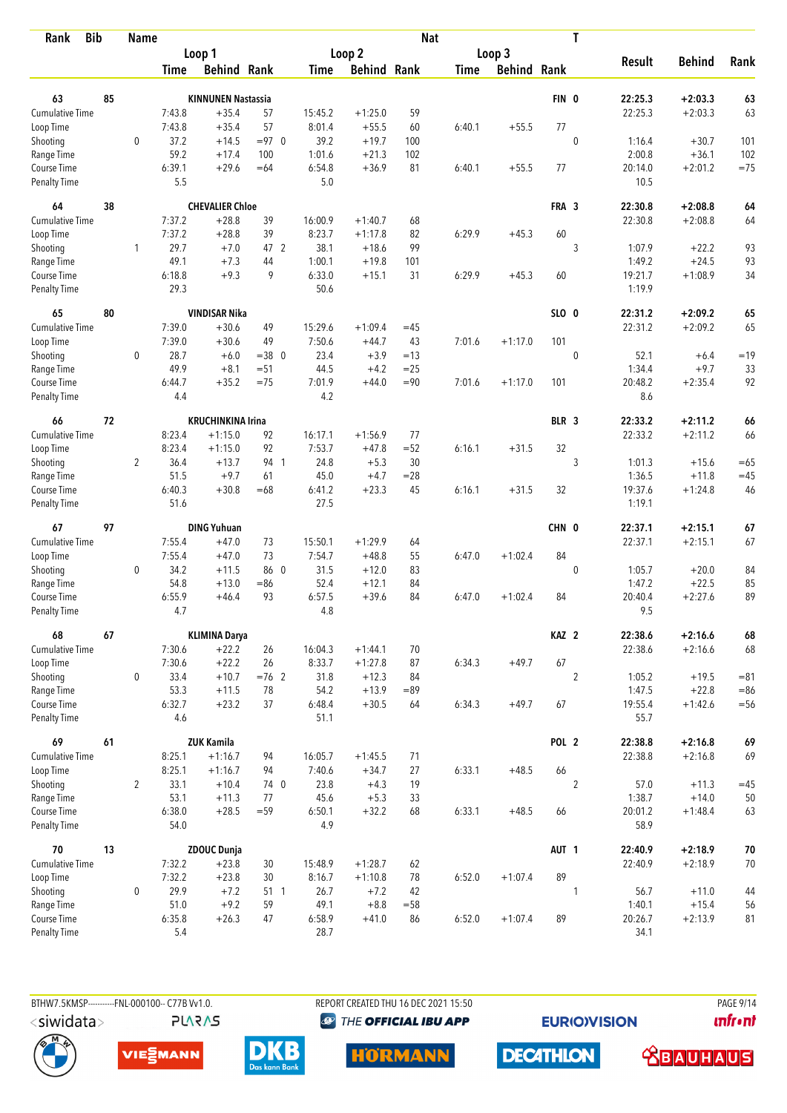| <b>Bib</b><br>Rank        |    | <b>Name</b>    |                |                           |                   |                |                    | <b>Nat</b>      |             |                    |                  | T              |                  |                      |                  |
|---------------------------|----|----------------|----------------|---------------------------|-------------------|----------------|--------------------|-----------------|-------------|--------------------|------------------|----------------|------------------|----------------------|------------------|
|                           |    |                |                | Loop 1                    |                   |                | Loop 2             |                 |             | Loop 3             |                  |                |                  |                      |                  |
|                           |    |                | Time           | <b>Behind Rank</b>        |                   | Time           | <b>Behind Rank</b> |                 | <b>Time</b> | <b>Behind Rank</b> |                  |                | <b>Result</b>    | <b>Behind</b>        | Rank             |
| 63                        | 85 |                |                | <b>KINNUNEN Nastassia</b> |                   |                |                    |                 |             |                    | FIN 0            |                | 22:25.3          | $+2:03.3$            | 63               |
| <b>Cumulative Time</b>    |    |                | 7:43.8         | $+35.4$                   | 57                | 15:45.2        | $+1:25.0$          | 59              |             |                    |                  |                | 22:25.3          | $+2:03.3$            | 63               |
| Loop Time                 |    |                | 7:43.8         | $+35.4$                   | 57                | 8:01.4         | $+55.5$            | 60              | 6:40.1      | $+55.5$            | 77               |                |                  |                      |                  |
| Shooting                  |    | $\mathbf 0$    | 37.2           | $+14.5$                   | $= 97$ 0          | 39.2           | $+19.7$            | 100             |             |                    |                  | 0              | 1:16.4           | $+30.7$              | 101              |
| Range Time                |    |                | 59.2           | $+17.4$                   | 100               | 1:01.6         | $+21.3$            | 102             |             |                    |                  |                | 2:00.8           | $+36.1$              | 102              |
| Course Time               |    |                | 6:39.1         | $+29.6$                   | $=64$             | 6:54.8         | $+36.9$            | 81              | 6:40.1      | $+55.5$            | 77               |                | 20:14.0          | $+2:01.2$            | $=75$            |
| <b>Penalty Time</b>       |    |                | 5.5            |                           |                   | 5.0            |                    |                 |             |                    |                  |                | 10.5             |                      |                  |
| 64                        | 38 |                |                | <b>CHEVALIER Chloe</b>    |                   |                |                    |                 |             |                    | FRA 3            |                | 22:30.8          | $+2:08.8$            | 64               |
| Cumulative Time           |    |                | 7:37.2         | $+28.8$                   | 39                | 16:00.9        | $+1:40.7$          | 68              |             |                    |                  |                | 22:30.8          | $+2:08.8$            | 64               |
| Loop Time                 |    |                | 7:37.2         | $+28.8$                   | 39                | 8:23.7         | $+1:17.8$          | 82              | 6:29.9      | $+45.3$            | 60               |                |                  |                      |                  |
| Shooting                  |    | 1              | 29.7           | $+7.0$                    | 47 2              | 38.1           | $+18.6$            | 99              |             |                    |                  | 3              | 1:07.9           | $+22.2$              | 93               |
| Range Time                |    |                | 49.1           | $+7.3$                    | 44                | 1:00.1         | $+19.8$            | 101             |             |                    |                  |                | 1:49.2           | $+24.5$              | 93               |
| Course Time               |    |                | 6:18.8         | $+9.3$                    | 9                 | 6:33.0         | $+15.1$            | 31              | 6:29.9      | $+45.3$            | 60               |                | 19:21.7          | $+1:08.9$            | 34               |
| Penalty Time              |    |                | 29.3           |                           |                   | 50.6           |                    |                 |             |                    |                  |                | 1:19.9           |                      |                  |
| 65                        | 80 |                |                | <b>VINDISAR Nika</b>      |                   |                |                    |                 |             |                    | SLO 0            |                | 22:31.2          | $+2:09.2$            | 65               |
| <b>Cumulative Time</b>    |    |                | 7:39.0         | $+30.6$                   | 49                | 15:29.6        | $+1:09.4$          | $=45$           |             |                    |                  |                | 22:31.2          | $+2:09.2$            | 65               |
| Loop Time                 |    |                | 7:39.0         | $+30.6$                   | 49                | 7:50.6         | $+44.7$            | 43              | 7:01.6      | $+1:17.0$          | 101              |                |                  |                      |                  |
| Shooting<br>Range Time    |    | 0              | 28.7<br>49.9   | $+6.0$<br>$+8.1$          | $=38$ 0<br>$= 51$ | 23.4<br>44.5   | $+3.9$<br>$+4.2$   | $=13$<br>$= 25$ |             |                    |                  | $\mathbf 0$    | 52.1<br>1:34.4   | $+6.4$<br>$+9.7$     | $=19$<br>33      |
| Course Time               |    |                | 6:44.7         | $+35.2$                   | $=75$             | 7:01.9         | $+44.0$            | $= 90$          | 7:01.6      | $+1:17.0$          | 101              |                | 20:48.2          | $+2:35.4$            | 92               |
| <b>Penalty Time</b>       |    |                | 4.4            |                           |                   | 4.2            |                    |                 |             |                    |                  |                | 8.6              |                      |                  |
| 66                        | 72 |                |                | <b>KRUCHINKINA Irina</b>  |                   |                |                    |                 |             |                    | BLR 3            |                | 22:33.2          | $+2:11.2$            | 66               |
| <b>Cumulative Time</b>    |    |                | 8:23.4         | $+1:15.0$                 | 92                | 16:17.1        | $+1:56.9$          | 77              |             |                    |                  |                | 22:33.2          | $+2:11.2$            | 66               |
| Loop Time                 |    |                | 8:23.4         | $+1:15.0$                 | 92                | 7:53.7         | $+47.8$            | $=52$           | 6:16.1      | $+31.5$            | 32               |                |                  |                      |                  |
| Shooting                  |    | $\overline{2}$ | 36.4           | $+13.7$                   | 94 1              | 24.8           | $+5.3$             | 30              |             |                    |                  | 3              | 1:01.3           | $+15.6$              | $=65$            |
| Range Time                |    |                | 51.5           | $+9.7$                    | 61                | 45.0           | $+4.7$             | $= 28$          |             |                    |                  |                | 1:36.5           | $+11.8$              | $=45$            |
| Course Time               |    |                | 6:40.3         | $+30.8$                   | $=68$             | 6:41.2         | $+23.3$            | 45              | 6:16.1      | $+31.5$            | 32               |                | 19:37.6          | $+1:24.8$            | 46               |
| <b>Penalty Time</b>       |    |                | 51.6           |                           |                   | 27.5           |                    |                 |             |                    |                  |                | 1:19.1           |                      |                  |
| 67                        | 97 |                |                | <b>DING Yuhuan</b>        |                   |                |                    |                 |             |                    | CHN 0            |                | 22:37.1          | $+2:15.1$            | 67               |
| <b>Cumulative Time</b>    |    |                | 7:55.4         | $+47.0$                   | 73                | 15:50.1        | $+1:29.9$          | 64              |             |                    |                  |                | 22:37.1          | $+2:15.1$            | 67               |
| Loop Time                 |    |                | 7:55.4         | $+47.0$                   | 73                | 7:54.7         | $+48.8$            | 55              | 6:47.0      | $+1:02.4$          | 84               |                |                  |                      |                  |
| Shooting                  |    | 0              | 34.2           | $+11.5$                   | 86 0              | 31.5           | $+12.0$            | 83              |             |                    |                  | $\mathbf 0$    | 1:05.7           | $+20.0$              | 84               |
| Range Time                |    |                | 54.8           | $+13.0$                   | $= 86$            | 52.4           | $+12.1$            | 84              |             |                    |                  |                | 1:47.2           | $+22.5$              | 85               |
| Course Time               |    |                | 6:55.9         | $+46.4$                   | 93                | 6:57.5         | $+39.6$            | 84              | 6:47.0      | $+1:02.4$          | 84               |                | 20:40.4          | $+2:27.6$            | 89               |
| <b>Penalty Time</b>       |    |                | 4.7            |                           |                   | 4.8            |                    |                 |             |                    |                  |                | 9.5              |                      |                  |
| 68                        | 67 |                |                | <b>KLIMINA Darya</b>      |                   |                |                    |                 |             |                    | KAZ <sub>2</sub> |                | 22:38.6          | $+2:16.6$            | 68               |
| Cumulative Time           |    |                | 7:30.6         | $+22.2$                   | 26                | 16:04.3        | $+1:44.1$          | 70              |             |                    |                  |                | 22:38.6          | $+2:16.6$            | 68               |
| Loop Time                 |    |                | 7:30.6         | $+22.2$                   | 26                | 8:33.7         | $+1:27.8$          | 87              | 6:34.3      | $+49.7$            | 67               |                |                  |                      |                  |
| Shooting<br>Range Time    |    | 0              | 33.4<br>53.3   | $+10.7$<br>$+11.5$        | $=76$ 2<br>78     | 31.8<br>54.2   | $+12.3$<br>$+13.9$ | 84<br>$=89$     |             |                    |                  | $\overline{2}$ | 1:05.2<br>1:47.5 | $+19.5$<br>$+22.8$   | $= 81$<br>$= 86$ |
| Course Time               |    |                | 6:32.7         | $+23.2$                   | 37                | 6:48.4         | $+30.5$            | 64              | 6:34.3      | $+49.7$            | 67               |                | 19:55.4          | $+1:42.6$            | $= 56$           |
| Penalty Time              |    |                | 4.6            |                           |                   | 51.1           |                    |                 |             |                    |                  |                | 55.7             |                      |                  |
| 69                        | 61 |                |                | <b>ZUK Kamila</b>         |                   |                |                    |                 |             |                    | POL <sub>2</sub> |                | 22:38.8          | $+2:16.8$            | 69               |
| <b>Cumulative Time</b>    |    |                | 8:25.1         | $+1:16.7$                 | 94                | 16:05.7        | $+1:45.5$          | 71              |             |                    |                  |                | 22:38.8          | $+2:16.8$            | 69               |
| Loop Time                 |    |                | 8:25.1         | $+1:16.7$                 | 94                | 7:40.6         | $+34.7$            | 27              | 6:33.1      | $+48.5$            | 66               |                |                  |                      |                  |
| Shooting                  |    | $\overline{2}$ | 33.1           | $+10.4$                   | 74 0              | 23.8           | $+4.3$             | 19              |             |                    |                  | $\overline{2}$ | 57.0             | $+11.3$              | $=45$            |
| Range Time                |    |                | 53.1           | $+11.3$                   | 77                | 45.6           | $+5.3$             | 33              |             |                    |                  |                | 1:38.7           | $+14.0$              | 50               |
| Course Time               |    |                | 6:38.0         | $+28.5$                   | $= 59$            | 6:50.1         | $+32.2$            | 68              | 6:33.1      | $+48.5$            | 66               |                | 20:01.2          | $+1:48.4$            | 63               |
| Penalty Time              |    |                | 54.0           |                           |                   | 4.9            |                    |                 |             |                    |                  |                | 58.9             |                      |                  |
| 70                        | 13 |                |                | <b>ZDOUC Dunja</b>        |                   |                |                    |                 |             |                    | AUT <sub>1</sub> |                | 22:40.9          | $+2:18.9$            | 70               |
| Cumulative Time           |    |                | 7:32.2         | $+23.8$                   | 30                | 15:48.9        | $+1:28.7$          | 62              |             |                    |                  |                | 22:40.9          | $+2:18.9$            | 70               |
| Loop Time                 |    |                | 7:32.2         | $+23.8$                   | 30                | 8:16.7         | $+1:10.8$          | 78              | 6:52.0      | $+1:07.4$          | 89               |                |                  |                      |                  |
| Shooting                  |    | 0              | 29.9           | $+7.2$<br>$+9.2$          | 51 1<br>59        | 26.7           | $+7.2$             | 42              |             |                    |                  | 1              | 56.7<br>1:40.1   | $+11.0$              | 44               |
| Range Time<br>Course Time |    |                | 51.0<br>6:35.8 | $+26.3$                   | 47                | 49.1<br>6:58.9 | $+8.8$<br>$+41.0$  | $= 58$<br>86    | 6:52.0      | $+1:07.4$          | 89               |                | 20:26.7          | $+15.4$<br>$+2:13.9$ | 56<br>81         |
| Penalty Time              |    |                | 5.4            |                           |                   | 28.7           |                    |                 |             |                    |                  |                | 34.1             |                      |                  |
|                           |    |                |                |                           |                   |                |                    |                 |             |                    |                  |                |                  |                      |                  |



BTHW7.5KMSP-----------FNL-000100-- C77B Vv1.0.

**PLARAS** 

REPORT CREATED THU 16 DEC 2021 15:50 <sup><sup>9</sup> THE OFFICIAL IBU APP</sup>

**HORMANN** 

**DECATHLON** 

**EURIOVISION** 

**PAGE 9/14** *<u><u>Infront</u>*</u>





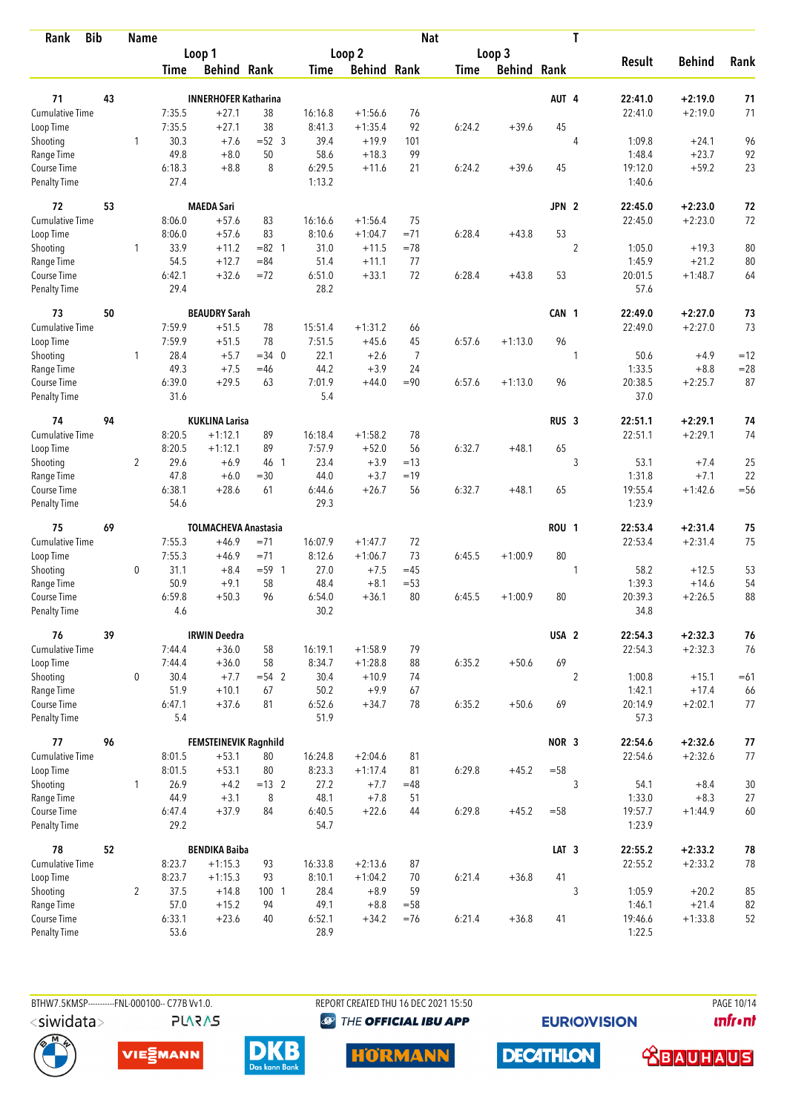| <b>Bib</b><br>Rank          |    | <b>Name</b>    |               |                             |                |                |                    | <b>Nat</b>     |             |                    |                  | T              |                   |                     |              |
|-----------------------------|----|----------------|---------------|-----------------------------|----------------|----------------|--------------------|----------------|-------------|--------------------|------------------|----------------|-------------------|---------------------|--------------|
|                             |    |                |               | Loop 1                      |                |                | Loop 2             |                |             | Loop 3             |                  |                |                   |                     |              |
|                             |    |                | Time          | <b>Behind Rank</b>          |                | Time           | <b>Behind Rank</b> |                | <b>Time</b> | <b>Behind Rank</b> |                  |                | <b>Result</b>     | <b>Behind</b>       | Rank         |
| 71                          | 43 |                |               | <b>INNERHOFER Katharina</b> |                |                |                    |                |             |                    | AUT 4            |                | 22:41.0           | $+2:19.0$           | 71           |
| <b>Cumulative Time</b>      |    |                | 7:35.5        | $+27.1$                     | 38             | 16:16.8        | $+1:56.6$          | 76             |             |                    |                  |                | 22:41.0           | $+2:19.0$           | 71           |
| Loop Time                   |    |                | 7:35.5        | $+27.1$                     | 38             | 8:41.3         | $+1:35.4$          | 92             | 6:24.2      | $+39.6$            | 45               |                |                   |                     |              |
| Shooting                    |    | 1              | 30.3          | $+7.6$                      | $=52$ 3        | 39.4           | $+19.9$            | 101            |             |                    |                  | $\overline{4}$ | 1:09.8            | $+24.1$             | 96           |
| Range Time                  |    |                | 49.8          | $+8.0$                      | 50             | 58.6           | $+18.3$            | 99             |             |                    |                  |                | 1:48.4            | $+23.7$             | 92           |
| Course Time                 |    |                | 6:18.3        | $+8.8$                      | 8              | 6:29.5         | $+11.6$            | 21             | 6:24.2      | $+39.6$            | 45               |                | 19:12.0           | $+59.2$             | 23           |
| <b>Penalty Time</b>         |    |                | 27.4          |                             |                | 1:13.2         |                    |                |             |                    |                  |                | 1:40.6            |                     |              |
| 72                          | 53 |                |               | <b>MAEDA Sari</b>           |                |                |                    |                |             |                    | JPN <sub>2</sub> |                | 22:45.0           | $+2:23.0$           | 72           |
| Cumulative Time             |    |                | 8:06.0        | $+57.6$                     | 83             | 16:16.6        | $+1:56.4$          | 75             |             |                    |                  |                | 22:45.0           | $+2:23.0$           | 72           |
| Loop Time                   |    |                | 8:06.0        | $+57.6$                     | 83             | 8:10.6         | $+1:04.7$          | $=71$          | 6:28.4      | $+43.8$            | 53               |                |                   |                     |              |
| Shooting                    |    | 1              | 33.9          | $+11.2$                     | $= 82 \quad 1$ | 31.0           | $+11.5$            | $=78$          |             |                    |                  | $\overline{2}$ | 1:05.0            | $+19.3$             | 80           |
| Range Time                  |    |                | 54.5          | $+12.7$                     | $= 84$         | 51.4           | $+11.1$            | 77             |             |                    |                  |                | 1:45.9            | $+21.2$             | 80           |
| Course Time                 |    |                | 6:42.1        | $+32.6$                     | $=72$          | 6:51.0         | $+33.1$            | 72             | 6:28.4      | $+43.8$            | 53               |                | 20:01.5           | $+1:48.7$           | 64           |
| Penalty Time                |    |                | 29.4          |                             |                | 28.2           |                    |                |             |                    |                  |                | 57.6              |                     |              |
| 73                          | 50 |                |               | <b>BEAUDRY Sarah</b>        |                |                |                    |                |             |                    | CAN 1            |                | 22:49.0           | $+2:27.0$           | 73           |
| <b>Cumulative Time</b>      |    |                | 7:59.9        | $+51.5$                     | 78             | 15:51.4        | $+1:31.2$          | 66             |             |                    |                  |                | 22:49.0           | $+2:27.0$           | 73           |
| Loop Time                   |    |                | 7:59.9        | $+51.5$                     | 78             | 7:51.5         | $+45.6$            | 45             | 6:57.6      | $+1:13.0$          | 96               |                |                   |                     |              |
| Shooting                    |    | 1              | 28.4          | $+5.7$                      | $=34$ 0        | 22.1           | $+2.6$             | $\overline{7}$ |             |                    |                  | 1              | 50.6              | $+4.9$              | $=12$        |
| Range Time                  |    |                | 49.3          | $+7.5$                      | $=46$          | 44.2           | $+3.9$             | 24             |             |                    |                  |                | 1:33.5            | $+8.8$              | $= 28$       |
| Course Time                 |    |                | 6:39.0        | $+29.5$                     | 63             | 7:01.9         | $+44.0$            | $= 90$         | 6:57.6      | $+1:13.0$          | 96               |                | 20:38.5           | $+2:25.7$           | 87           |
| Penalty Time                |    |                | 31.6          |                             |                | 5.4            |                    |                |             |                    |                  |                | 37.0              |                     |              |
| 74                          | 94 |                |               | <b>KUKLINA Larisa</b>       |                |                |                    |                |             |                    | RUS <sub>3</sub> |                | 22:51.1           | $+2:29.1$           | 74           |
| <b>Cumulative Time</b>      |    |                | 8:20.5        | $+1:12.1$                   | 89             | 16:18.4        | $+1:58.2$          | 78             |             |                    |                  |                | 22:51.1           | $+2:29.1$           | 74           |
| Loop Time                   |    |                | 8:20.5        | $+1:12.1$                   | 89             | 7:57.9         | $+52.0$            | 56             | 6:32.7      | $+48.1$            | 65               |                |                   |                     |              |
| Shooting                    |    | 2              | 29.6          | $+6.9$                      | 46 1           | 23.4           | $+3.9$             | $=13$          |             |                    |                  | 3              | 53.1              | $+7.4$              | 25           |
| Range Time                  |    |                | 47.8          | $+6.0$                      | $=30$          | 44.0           | $+3.7$             | $=19$          |             |                    |                  |                | 1:31.8            | $+7.1$              | 22           |
| Course Time                 |    |                | 6:38.1        | $+28.6$                     | 61             | 6:44.6         | $+26.7$            | 56             | 6:32.7      | $+48.1$            | 65               |                | 19:55.4           | $+1:42.6$           | $=$ 56       |
| <b>Penalty Time</b>         |    |                | 54.6          |                             |                | 29.3           |                    |                |             |                    |                  |                | 1:23.9            |                     |              |
| 75                          | 69 |                |               | <b>TOLMACHEVA Anastasia</b> |                |                |                    |                |             |                    | <b>ROU 1</b>     |                | 22:53.4           | $+2:31.4$           | 75           |
| <b>Cumulative Time</b>      |    |                | 7:55.3        | $+46.9$                     | $= 71$         | 16:07.9        | $+1:47.7$          | 72             |             |                    |                  |                | 22:53.4           | $+2:31.4$           | 75           |
| Loop Time                   |    |                | 7:55.3        | $+46.9$                     | $= 71$         | 8:12.6         | $+1:06.7$          | 73             | 6:45.5      | $+1:00.9$          | 80               |                |                   |                     |              |
| Shooting                    |    | $\mathbf 0$    | 31.1          | $+8.4$                      | $= 59 \quad 1$ | 27.0           | $+7.5$             | $=45$          |             |                    |                  | 1              | 58.2              | $+12.5$             | 53           |
| Range Time                  |    |                | 50.9          | $+9.1$                      | 58             | 48.4           | $+8.1$             | $= 53$         |             |                    |                  |                | 1:39.3            | $+14.6$             | 54           |
| Course Time                 |    |                | 6:59.8        | $+50.3$                     | 96             | 6:54.0         | $+36.1$            | 80             | 6:45.5      | $+1:00.9$          | 80               |                | 20:39.3           | $+2:26.5$           | 88           |
| <b>Penalty Time</b>         |    |                | 4.6           |                             |                | 30.2           |                    |                |             |                    |                  |                | 34.8              |                     |              |
| 76                          | 39 |                |               | <b>IRWIN Deedra</b>         |                |                |                    |                |             |                    | USA <sub>2</sub> |                | 22:54.3           | $+2:32.3$           | 76           |
| Cumulative Time             |    |                | 7:44.4        | $+36.0$                     | 58             | 16:19.1        | $+1:58.9$          | 79             |             |                    |                  |                | 22:54.3           | $+2:32.3$           | 76           |
| Loop Time                   |    |                | 7:44.4        | $+36.0$                     | 58             | 8:34.7         | $+1:28.8$          | 88             | 6:35.2      | $+50.6$            | 69               |                |                   |                     |              |
| Shooting                    |    | 0              | 30.4          | $+7.7$                      | $= 54$ 2       | 30.4           | $+10.9$            | 74             |             |                    |                  | $\overline{2}$ | 1:00.8            | $+15.1$             | $=61$        |
| Range Time                  |    |                | 51.9          | $+10.1$                     | 67             | 50.2           | $+9.9$             | 67             |             |                    |                  |                | 1:42.1            | $+17.4$             | 66           |
| Course Time<br>Penalty Time |    |                | 6:47.1<br>5.4 | $+37.6$                     | 81             | 6:52.6<br>51.9 | $+34.7$            | 78             | 6:35.2      | $+50.6$            | 69               |                | 20:14.9<br>57.3   | $+2:02.1$           | 77           |
| 77                          | 96 |                |               |                             |                |                |                    |                |             |                    |                  |                |                   |                     |              |
| <b>Cumulative Time</b>      |    |                |               | FEMSTEINEVIK Ragnhild       |                |                |                    |                |             |                    | NOR 3            |                | 22:54.6           | $+2:32.6$           | $77$         |
|                             |    |                | 8:01.5        | $+53.1$                     | 80<br>80       | 16:24.8        | $+2:04.6$          | 81             |             | $+45.2$            | $=58$            |                | 22:54.6           | $+2:32.6$           | 77           |
| Loop Time                   |    |                | 8:01.5        | $+53.1$                     |                | 8:23.3         | $+1:17.4$          | 81             | 6:29.8      |                    |                  |                |                   |                     |              |
| Shooting                    |    | $\mathbf{1}$   | 26.9<br>44.9  | $+4.2$<br>$+3.1$            | $= 13 \quad 2$ | 27.2<br>48.1   | $+7.7$             | $=48$          |             |                    |                  | 3              | 54.1              | $+8.4$              | $30\,$       |
| Range Time<br>Course Time   |    |                | 6:47.4        | $+37.9$                     | 8<br>84        | 6:40.5         | $+7.8$<br>$+22.6$  | 51<br>44       | 6:29.8      | $+45.2$            | $=58$            |                | 1:33.0<br>19:57.7 | $+8.3$<br>$+1:44.9$ | $27\,$<br>60 |
| Penalty Time                |    |                | 29.2          |                             |                | 54.7           |                    |                |             |                    |                  |                | 1:23.9            |                     |              |
| 78                          | 52 |                |               | <b>BENDIKA Baiba</b>        |                |                |                    |                |             |                    | LAT <sub>3</sub> |                | 22:55.2           | $+2:33.2$           | 78           |
| Cumulative Time             |    |                | 8:23.7        | $+1:15.3$                   | 93             | 16:33.8        | $+2:13.6$          | 87             |             |                    |                  |                | 22:55.2           | $+2:33.2$           | 78           |
| Loop Time                   |    |                | 8:23.7        | $+1:15.3$                   | 93             | 8:10.1         | $+1:04.2$          | 70             | 6:21.4      | $+36.8$            | 41               |                |                   |                     |              |
| Shooting                    |    | $\overline{2}$ | 37.5          | $+14.8$                     | 100 1          | 28.4           | $+8.9$             | 59             |             |                    |                  | 3              | 1:05.9            | $+20.2$             | 85           |
| Range Time                  |    |                | 57.0          | $+15.2$                     | 94             | 49.1           | $+8.8$             | $= 58$         |             |                    |                  |                | 1:46.1            | $+21.4$             | 82           |
| Course Time                 |    |                | 6:33.1        | $+23.6$                     | 40             | 6:52.1         | $+34.2$            | $=76$          | 6:21.4      | $+36.8$            | 41               |                | 19:46.6           | $+1:33.8$           | 52           |
| <b>Penalty Time</b>         |    |                | 53.6          |                             |                | 28.9           |                    |                |             |                    |                  |                | 1:22.5            |                     |              |

**PLARAS** 

BTHW7.5KMSP----------FNL-000100-- C77B Vv1.0. REPORT CREATED THU 16 DEC 2021 15:50 PAGE 10/14 <sup><sup>9</sup> THE OFFICIAL IBU APP</sup>

**EURIOVISION** 









 **<u>CBAUHAUS</u>** 

**unfront**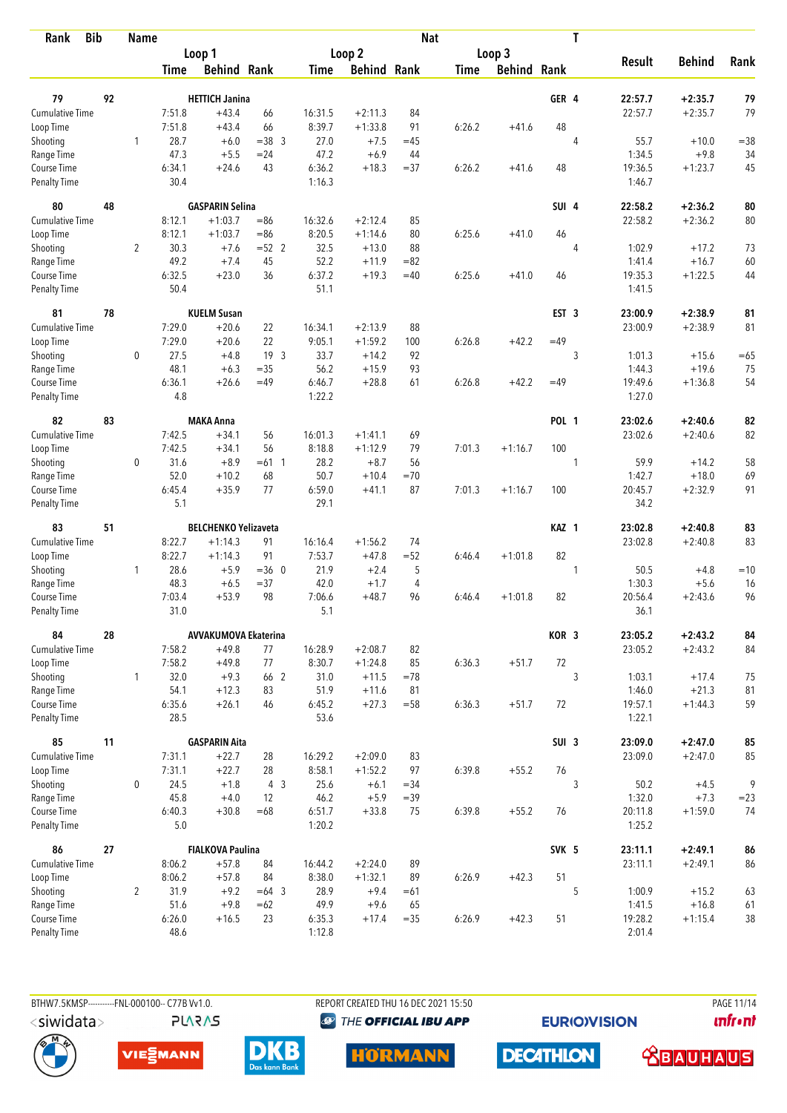| <b>Bib</b><br>Rank                 |    | <b>Name</b>    |                |                             |                 |                  |                      | <b>Nat</b>  |             |                    |                  | T              |                   |               |        |
|------------------------------------|----|----------------|----------------|-----------------------------|-----------------|------------------|----------------------|-------------|-------------|--------------------|------------------|----------------|-------------------|---------------|--------|
|                                    |    |                |                | Loop 1                      |                 |                  | Loop 2               |             |             | Loop 3             |                  |                |                   |               |        |
|                                    |    |                | Time           | <b>Behind Rank</b>          |                 | Time             | <b>Behind Rank</b>   |             | <b>Time</b> | <b>Behind Rank</b> |                  |                | <b>Result</b>     | <b>Behind</b> | Rank   |
| 79                                 | 92 |                |                | <b>HETTICH Janina</b>       |                 |                  |                      |             |             |                    | GER 4            |                | 22:57.7           | $+2:35.7$     | 79     |
| <b>Cumulative Time</b>             |    |                | 7:51.8         | $+43.4$                     | 66              | 16:31.5          | $+2:11.3$            | 84          |             |                    |                  |                | 22:57.7           | $+2:35.7$     | 79     |
| Loop Time                          |    |                | 7:51.8         | $+43.4$                     | 66              | 8:39.7           | $+1:33.8$            | 91          | 6:26.2      | $+41.6$            | 48               |                |                   |               |        |
| Shooting                           |    | $\mathbf{1}$   | 28.7           | $+6.0$                      | $=38.3$         | 27.0             | $+7.5$               | $=45$       |             |                    |                  | $\overline{4}$ | 55.7              | $+10.0$       | $= 38$ |
| Range Time                         |    |                | 47.3           | $+5.5$                      | $= 24$          | 47.2             | $+6.9$               | 44          |             |                    |                  |                | 1:34.5            | $+9.8$        | 34     |
| Course Time                        |    |                | 6:34.1         | $+24.6$                     | 43              | 6:36.2           | $+18.3$              | $= 37$      | 6:26.2      | $+41.6$            | 48               |                | 19:36.5           | $+1:23.7$     | 45     |
| <b>Penalty Time</b>                |    |                | 30.4           |                             |                 | 1:16.3           |                      |             |             |                    |                  |                | 1:46.7            |               |        |
| 80                                 | 48 |                |                | <b>GASPARIN Selina</b>      |                 |                  |                      |             |             |                    | SUI 4            |                | 22:58.2           | $+2:36.2$     | 80     |
| Cumulative Time                    |    |                | 8:12.1         | $+1:03.7$                   | $= 86$          | 16:32.6          | $+2:12.4$            | 85          |             |                    |                  |                | 22:58.2           | $+2:36.2$     | 80     |
| Loop Time                          |    |                | 8:12.1         | $+1:03.7$                   | $= 86$          | 8:20.5           | $+1:14.6$            | 80          | 6:25.6      | $+41.0$            | 46               |                |                   |               |        |
| Shooting                           |    | 2              | 30.3           | $+7.6$                      | $=52$ 2         | 32.5             | $+13.0$              | 88          |             |                    |                  | 4              | 1:02.9            | $+17.2$       | 73     |
| Range Time                         |    |                | 49.2           | $+7.4$                      | 45              | 52.2             | $+11.9$              | $= 82$      |             |                    |                  |                | 1:41.4            | $+16.7$       | 60     |
| Course Time                        |    |                | 6:32.5         | $+23.0$                     | 36              | 6:37.2           | $+19.3$              | $=40$       | 6:25.6      | $+41.0$            | 46               |                | 19:35.3           | $+1:22.5$     | 44     |
| Penalty Time                       |    |                | 50.4           |                             |                 | 51.1             |                      |             |             |                    |                  |                | 1:41.5            |               |        |
| 81                                 | 78 |                |                | <b>KUELM Susan</b>          |                 |                  |                      |             |             |                    | EST <sub>3</sub> |                | 23:00.9           | $+2:38.9$     | 81     |
| Cumulative Time                    |    |                | 7:29.0         | $+20.6$                     | 22              | 16:34.1          | $+2:13.9$            | 88          |             |                    |                  |                | 23:00.9           | $+2:38.9$     | 81     |
| Loop Time                          |    |                | 7:29.0         | $+20.6$                     | 22              | 9:05.1           | $+1:59.2$            | 100         | 6:26.8      | $+42.2$            | $=49$            |                |                   |               |        |
| Shooting                           |    | 0              | 27.5           | $+4.8$                      | 19 <sup>3</sup> | 33.7             | $+14.2$              | 92          |             |                    |                  | 3              | 1:01.3            | $+15.6$       | $=65$  |
| Range Time                         |    |                | 48.1           | $+6.3$                      | $= 35$          | 56.2             | $+15.9$              | 93          |             |                    |                  |                | 1:44.3            | $+19.6$       | 75     |
| Course Time<br><b>Penalty Time</b> |    |                | 6:36.1<br>4.8  | $+26.6$                     | $=49$           | 6:46.7<br>1:22.2 | $+28.8$              | 61          | 6:26.8      | $+42.2$            | $=49$            |                | 19:49.6<br>1:27.0 | $+1:36.8$     | 54     |
| 82                                 | 83 |                |                | <b>MAKA Anna</b>            |                 |                  |                      |             |             |                    | <b>POL 1</b>     |                | 23:02.6           | $+2:40.6$     | 82     |
| <b>Cumulative Time</b>             |    |                | 7:42.5         | $+34.1$                     | 56              | 16:01.3          | $+1:41.1$            | 69          |             |                    |                  |                | 23:02.6           | $+2:40.6$     | 82     |
| Loop Time                          |    |                | 7:42.5         | $+34.1$                     | 56              | 8:18.8           | $+1:12.9$            | 79          | 7:01.3      | $+1:16.7$          | 100              |                |                   |               |        |
| Shooting                           |    | 0              | 31.6           | $+8.9$                      | $=61$ 1         | 28.2             | $+8.7$               | 56          |             |                    |                  | 1              | 59.9              | $+14.2$       | 58     |
| Range Time                         |    |                | 52.0           | $+10.2$                     | 68              | 50.7             | $+10.4$              | $=70$       |             |                    |                  |                | 1:42.7            | $+18.0$       | 69     |
| Course Time                        |    |                | 6:45.4         | $+35.9$                     | 77              | 6:59.0           | $+41.1$              | 87          | 7:01.3      | $+1:16.7$          | 100              |                | 20:45.7           | $+2:32.9$     | 91     |
| <b>Penalty Time</b>                |    |                | 5.1            |                             |                 | 29.1             |                      |             |             |                    |                  |                | 34.2              |               |        |
| 83                                 | 51 |                |                | <b>BELCHENKO Yelizaveta</b> |                 |                  |                      |             |             |                    | KAZ 1            |                | 23:02.8           | $+2:40.8$     | 83     |
| Cumulative Time                    |    |                | 8:22.7         | $+1:14.3$                   | 91              | 16:16.4          | $+1:56.2$            | 74          |             |                    |                  |                | 23:02.8           | $+2:40.8$     | 83     |
| Loop Time                          |    |                | 8:22.7         | $+1:14.3$                   | 91              | 7:53.7           | $+47.8$              | $= 52$      | 6:46.4      | $+1:01.8$          | 82               |                |                   |               |        |
| Shooting                           |    | 1              | 28.6           | $+5.9$                      | $=36$ 0         | 21.9             | $+2.4$               | 5           |             |                    |                  | 1              | 50.5              | $+4.8$        | $=10$  |
| Range Time                         |    |                | 48.3           | $+6.5$                      | $= 37$          | 42.0             | $+1.7$               | 4           |             |                    |                  |                | 1:30.3            | $+5.6$        | 16     |
| Course Time                        |    |                | 7:03.4         | $+53.9$                     | 98              | 7:06.6           | $+48.7$              | 96          | 6:46.4      | $+1:01.8$          | 82               |                | 20:56.4           | $+2:43.6$     | 96     |
| <b>Penalty Time</b>                |    |                | 31.0           |                             |                 | 5.1              |                      |             |             |                    |                  |                | 36.1              |               |        |
| 84                                 | 28 |                |                | <b>AVVAKUMOVA Ekaterina</b> |                 |                  |                      |             |             |                    | KOR 3            |                | 23:05.2           | $+2:43.2$     | 84     |
| <b>Cumulative Time</b>             |    |                | 7:58.2         | $+49.8$<br>$+49.8$          | 77<br>77        | 16:28.9          | $+2:08.7$            | 82          |             |                    | 72               |                | 23:05.2           | $+2:43.2$     | 84     |
| Loop Time<br>Shooting              |    | $\mathbf{1}$   | 7:58.2<br>32.0 | $+9.3$                      | 66 2            | 8:30.7<br>31.0   | $+1:24.8$<br>$+11.5$ | 85<br>$=78$ | 6:36.3      | $+51.7$            |                  | 3              | 1:03.1            | $+17.4$       | 75     |
| Range Time                         |    |                | 54.1           | $+12.3$                     | 83              | 51.9             | $+11.6$              | 81          |             |                    |                  |                | 1:46.0            | $+21.3$       | 81     |
| Course Time                        |    |                | 6:35.6         | $+26.1$                     | 46              | 6:45.2           | $+27.3$              | $= 58$      | 6:36.3      | $+51.7$            | 72               |                | 19:57.1           | $+1:44.3$     | 59     |
| Penalty Time                       |    |                | 28.5           |                             |                 | 53.6             |                      |             |             |                    |                  |                | 1:22.1            |               |        |
| 85                                 | 11 |                |                | <b>GASPARIN Aita</b>        |                 |                  |                      |             |             |                    | SUI <sub>3</sub> |                | 23:09.0           | $+2:47.0$     | 85     |
| <b>Cumulative Time</b>             |    |                | 7:31.1         | $+22.7$                     | 28              | 16:29.2          | $+2:09.0$            | 83          |             |                    |                  |                | 23:09.0           | $+2:47.0$     | 85     |
| Loop Time                          |    |                | 7:31.1         | $+22.7$                     | 28              | 8:58.1           | $+1:52.2$            | 97          | 6:39.8      | $+55.2$            | 76               |                |                   |               |        |
| Shooting                           |    | 0              | 24.5           | $+1.8$                      | 4 <sup>3</sup>  | 25.6             | $+6.1$               | $= 34$      |             |                    |                  | 3              | 50.2              | $+4.5$        | 9      |
| Range Time                         |    |                | 45.8           | $+4.0$                      | 12              | 46.2             | $+5.9$               | $=39$       |             |                    |                  |                | 1:32.0            | $+7.3$        | $= 23$ |
| Course Time                        |    |                | 6:40.3         | $+30.8$                     | $=68$           | 6:51.7           | $+33.8$              | 75          | 6:39.8      | $+55.2$            | 76               |                | 20:11.8           | $+1:59.0$     | 74     |
| Penalty Time                       |    |                | $5.0\,$        |                             |                 | 1:20.2           |                      |             |             |                    |                  |                | 1:25.2            |               |        |
| 86                                 | 27 |                |                | <b>FIALKOVA Paulina</b>     |                 |                  |                      |             |             |                    | SVK 5            |                | 23:11.1           | $+2:49.1$     | 86     |
| Cumulative Time                    |    |                | 8:06.2         | $+57.8$                     | 84              | 16:44.2          | $+2:24.0$            | 89          |             |                    |                  |                | 23:11.1           | $+2:49.1$     | 86     |
| Loop Time                          |    |                | 8:06.2         | $+57.8$                     | 84              | 8:38.0           | $+1:32.1$            | 89          | 6:26.9      | $+42.3$            | 51               |                |                   |               |        |
| Shooting                           |    | $\overline{2}$ | 31.9           | $+9.2$                      | $=64$ 3         | 28.9             | $+9.4$               | $=61$       |             |                    |                  | 5              | 1:00.9            | $+15.2$       | 63     |
| Range Time                         |    |                | 51.6           | $+9.8$                      | $=62$           | 49.9             | $+9.6$               | 65          |             |                    |                  |                | 1:41.5            | $+16.8$       | 61     |
| Course Time                        |    |                | 6:26.0         | $+16.5$                     | 23              | 6:35.3           | $+17.4$              | $=35$       | 6:26.9      | $+42.3$            | 51               |                | 19:28.2           | $+1:15.4$     | 38     |
| <b>Penalty Time</b>                |    |                | 48.6           |                             |                 | 1:12.8           |                      |             |             |                    |                  |                | 2:01.4            |               |        |

**PLARAS** 

BTHW7.5KMSP----------FNL-000100-- C77B Vv1.0. REPORT CREATED THU 16 DEC 2021 15:50 PAGE 11/14 <sup><sup>9</sup> THE OFFICIAL IBU APP</sup>

**EURIOVISION** 

**unfront** 









**DECATHLON** 

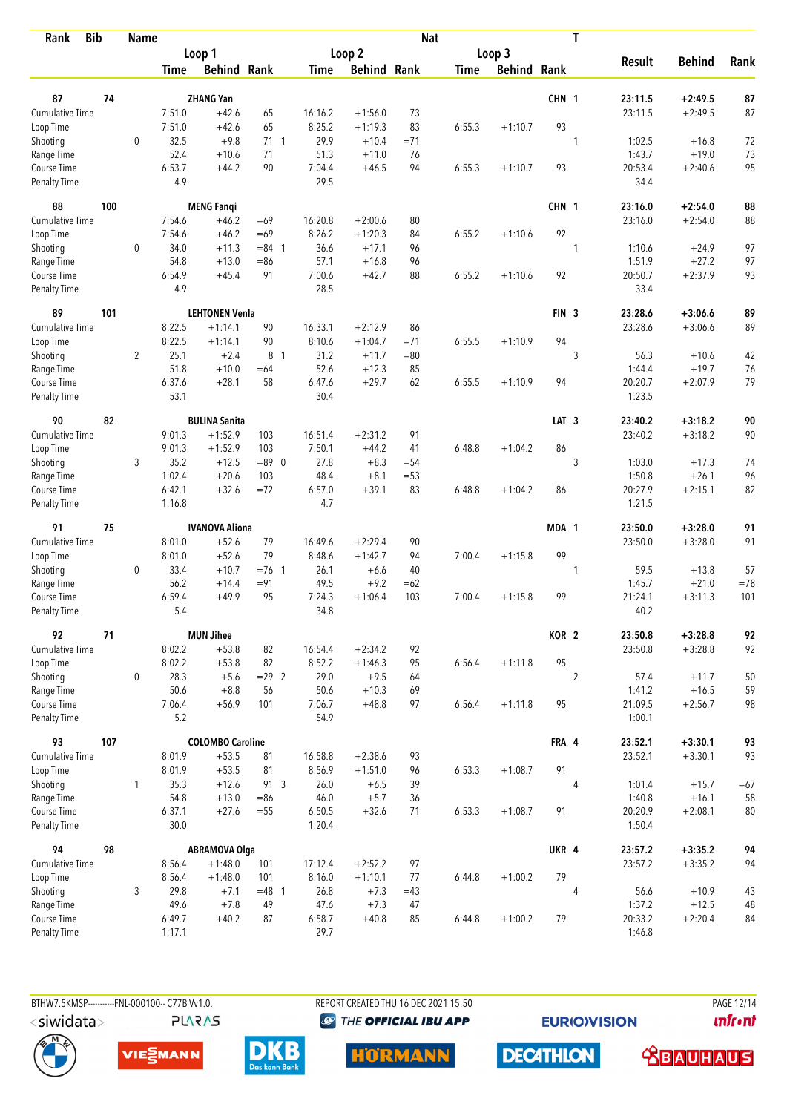| Rank                               | <b>Bib</b> | <b>Name</b>    |                  |                         |                |                   |                        | <b>Nat</b> |             |                    |                  | T              |                   |               |       |
|------------------------------------|------------|----------------|------------------|-------------------------|----------------|-------------------|------------------------|------------|-------------|--------------------|------------------|----------------|-------------------|---------------|-------|
|                                    |            |                |                  | Loop 1                  |                |                   | Loop 2                 |            |             | Loop 3             |                  |                |                   |               |       |
|                                    |            |                | Time             | <b>Behind Rank</b>      |                | Time              | <b>Behind Rank</b>     |            | <b>Time</b> | <b>Behind Rank</b> |                  |                | <b>Result</b>     | <b>Behind</b> | Rank  |
| 87                                 | 74         |                |                  | <b>ZHANG Yan</b>        |                |                   |                        |            |             |                    | CHN 1            |                | 23:11.5           | $+2:49.5$     | 87    |
| <b>Cumulative Time</b>             |            |                | 7:51.0           | $+42.6$                 | 65             | 16:16.2           | $+1:56.0$              | 73         |             |                    |                  |                | 23:11.5           | $+2:49.5$     | 87    |
| Loop Time                          |            |                | 7:51.0           | $+42.6$                 | 65             | 8:25.2            | $+1:19.3$              | 83         | 6:55.3      | $+1:10.7$          | 93               |                |                   |               |       |
| Shooting                           |            | $\mathbf 0$    | 32.5             | $+9.8$                  | $71 \t1$       | 29.9              | $+10.4$                | $= 71$     |             |                    |                  | 1              | 1:02.5            | $+16.8$       | 72    |
| Range Time                         |            |                | 52.4             | $+10.6$                 | 71             | 51.3              | $+11.0$                | 76         |             |                    |                  |                | 1:43.7            | $+19.0$       | 73    |
| Course Time                        |            |                | 6:53.7           | $+44.2$                 | 90             | 7:04.4            | $+46.5$                | 94         | 6:55.3      | $+1:10.7$          | 93               |                | 20:53.4           | $+2:40.6$     | 95    |
| Penalty Time                       |            |                | 4.9              |                         |                | 29.5              |                        |            |             |                    |                  |                | 34.4              |               |       |
| 88                                 | 100        |                |                  | <b>MENG Fangi</b>       |                |                   |                        |            |             |                    | CHN 1            |                | 23:16.0           | $+2:54.0$     | 88    |
| Cumulative Time                    |            |                | 7:54.6           | $+46.2$                 | $=69$          | 16:20.8           | $+2:00.6$              | 80         |             |                    |                  |                | 23:16.0           | $+2:54.0$     | 88    |
| Loop Time                          |            |                | 7:54.6           | $+46.2$                 | $=69$          | 8:26.2            | $+1:20.3$              | 84         | 6:55.2      | $+1:10.6$          | 92               |                |                   |               |       |
| Shooting                           |            | 0              | 34.0             | $+11.3$                 | $= 84$ 1       | 36.6              | $+17.1$                | 96         |             |                    |                  | 1              | 1:10.6            | $+24.9$       | 97    |
| Range Time                         |            |                | 54.8             | $+13.0$                 | $= 86$         | 57.1              | $+16.8$                | 96         |             |                    |                  |                | 1:51.9            | $+27.2$       | 97    |
| Course Time<br><b>Penalty Time</b> |            |                | 6:54.9<br>4.9    | $+45.4$                 | 91             | 7:00.6<br>28.5    | $+42.7$                | 88         | 6:55.2      | $+1:10.6$          | 92               |                | 20:50.7<br>33.4   | $+2:37.9$     | 93    |
| 89                                 | 101        |                |                  | <b>LEHTONEN Venla</b>   |                |                   |                        |            |             |                    | FIN <sub>3</sub> |                | 23:28.6           | $+3:06.6$     | 89    |
| Cumulative Time                    |            |                | 8:22.5           | $+1:14.1$               | 90             | 16:33.1           | $+2:12.9$              | 86         |             |                    |                  |                | 23:28.6           | $+3:06.6$     | 89    |
| Loop Time                          |            |                | 8:22.5           | $+1:14.1$               | 90             | 8:10.6            | $+1:04.7$              | $= 71$     | 6:55.5      | $+1:10.9$          | 94               |                |                   |               |       |
| Shooting                           |            | $\overline{2}$ | 25.1             | $+2.4$                  | 8 <sup>1</sup> | 31.2              | $+11.7$                | $= 80$     |             |                    |                  | 3              | 56.3              | $+10.6$       | 42    |
| Range Time                         |            |                | 51.8             | $+10.0$                 | $=64$          | 52.6              | $+12.3$                | 85         |             |                    |                  |                | 1:44.4            | $+19.7$       | 76    |
| Course Time                        |            |                | 6:37.6           | $+28.1$                 | 58             | 6:47.6            | $+29.7$                | 62         | 6:55.5      | $+1:10.9$          | 94               |                | 20:20.7           | $+2:07.9$     | 79    |
| Penalty Time                       |            |                | 53.1             |                         |                | 30.4              |                        |            |             |                    |                  |                | 1:23.5            |               |       |
| 90                                 | 82         |                |                  | <b>BULINA Sanita</b>    |                |                   |                        |            |             |                    | LAT <sub>3</sub> |                | 23:40.2           | $+3:18.2$     | 90    |
| <b>Cumulative Time</b>             |            |                | 9:01.3           | $+1:52.9$               | 103            | 16:51.4           | $+2:31.2$              | 91         |             |                    |                  |                | 23:40.2           | $+3:18.2$     | 90    |
| Loop Time                          |            |                | 9:01.3           | $+1:52.9$               | 103            | 7:50.1            | $+44.2$                | 41         | 6:48.8      | $+1:04.2$          | 86               |                |                   |               |       |
| Shooting                           |            | 3              | 35.2             | $+12.5$                 | $= 89 \ 0$     | 27.8              | $+8.3$                 | $= 54$     |             |                    |                  | 3              | 1:03.0            | $+17.3$       | 74    |
| Range Time                         |            |                | 1:02.4           | $+20.6$                 | 103            | 48.4              | $+8.1$                 | $= 53$     |             |                    |                  |                | 1:50.8            | $+26.1$       | 96    |
| Course Time<br><b>Penalty Time</b> |            |                | 6:42.1<br>1:16.8 | $+32.6$                 | $=72$          | 6:57.0<br>4.7     | $+39.1$                | 83         | 6:48.8      | $+1:04.2$          | 86               |                | 20:27.9<br>1:21.5 | $+2:15.1$     | 82    |
|                                    |            |                |                  |                         |                |                   |                        |            |             |                    |                  |                |                   |               |       |
| 91                                 | 75         |                |                  | <b>IVANOVA Aliona</b>   |                |                   |                        |            |             |                    | MDA 1            |                | 23:50.0           | $+3:28.0$     | 91    |
| <b>Cumulative Time</b>             |            |                | 8:01.0<br>8:01.0 | $+52.6$<br>$+52.6$      | 79<br>79       | 16:49.6<br>8:48.6 | $+2:29.4$<br>$+1:42.7$ | 90<br>94   | 7:00.4      | $+1:15.8$          | 99               |                | 23:50.0           | $+3:28.0$     | 91    |
| Loop Time<br>Shooting              |            | 0              | 33.4             | $+10.7$                 | $=76$ 1        | 26.1              | $+6.6$                 | 40         |             |                    |                  | 1              | 59.5              | $+13.8$       | 57    |
| Range Time                         |            |                | 56.2             | $+14.4$                 | $= 91$         | 49.5              | $+9.2$                 | $=62$      |             |                    |                  |                | 1:45.7            | $+21.0$       | $=78$ |
| Course Time                        |            |                | 6:59.4           | $+49.9$                 | 95             | 7:24.3            | $+1:06.4$              | 103        | 7:00.4      | $+1:15.8$          | 99               |                | 21:24.1           | $+3:11.3$     | 101   |
| <b>Penalty Time</b>                |            |                | 5.4              |                         |                | 34.8              |                        |            |             |                    |                  |                | 40.2              |               |       |
| 92                                 | 71         |                |                  | <b>MUN Jihee</b>        |                |                   |                        |            |             |                    | KOR <sub>2</sub> |                | 23:50.8           | $+3:28.8$     | 92    |
| Cumulative Time                    |            |                | 8:02.2           | $+53.8$                 | 82             | 16:54.4           | $+2:34.2$              | 92         |             |                    |                  |                | 23:50.8           | $+3:28.8$     | 92    |
| Loop Time                          |            |                | 8:02.2           | $+53.8$                 | 82             | 8:52.2            | $+1:46.3$              | 95         | 6:56.4      | $+1:11.8$          | 95               |                |                   |               |       |
| Shooting                           |            | 0              | 28.3             | $+5.6$                  | $= 29$ 2       | 29.0              | $+9.5$                 | 64         |             |                    |                  | $\overline{2}$ | 57.4              | $+11.7$       | 50    |
| Range Time                         |            |                | 50.6             | $+8.8$                  | 56             | 50.6              | $+10.3$                | 69         |             |                    |                  |                | 1:41.2            | $+16.5$       | 59    |
| Course Time<br>Penalty Time        |            |                | 7:06.4<br>5.2    | $+56.9$                 | 101            | 7:06.7<br>54.9    | $+48.8$                | 97         | 6:56.4      | $+1:11.8$          | 95               |                | 21:09.5<br>1:00.1 | $+2:56.7$     | 98    |
| 93                                 | 107        |                |                  | <b>COLOMBO Caroline</b> |                |                   |                        |            |             |                    | FRA 4            |                | 23:52.1           | $+3:30.1$     | 93    |
| <b>Cumulative Time</b>             |            |                | 8:01.9           | $+53.5$                 | 81             | 16:58.8           | $+2:38.6$              | 93         |             |                    |                  |                | 23:52.1           | $+3:30.1$     | 93    |
| Loop Time                          |            |                | 8:01.9           | $+53.5$                 | 81             | 8:56.9            | $+1:51.0$              | 96         | 6:53.3      | $+1:08.7$          | 91               |                |                   |               |       |
| Shooting                           |            | $\mathbf{1}$   | 35.3             | $+12.6$                 | 91 3           | 26.0              | $+6.5$                 | 39         |             |                    |                  | 4              | 1:01.4            | $+15.7$       | $=67$ |
| Range Time                         |            |                | 54.8             | $+13.0$                 | $=86$          | 46.0              | $+5.7$                 | 36         |             |                    |                  |                | 1:40.8            | $+16.1$       | 58    |
| Course Time                        |            |                | 6:37.1           | $+27.6$                 | $= 55$         | 6:50.5            | $+32.6$                | 71         | 6:53.3      | $+1:08.7$          | 91               |                | 20:20.9           | $+2:08.1$     | 80    |
| Penalty Time                       |            |                | 30.0             |                         |                | 1:20.4            |                        |            |             |                    |                  |                | 1:50.4            |               |       |
| 94                                 | 98         |                |                  | <b>ABRAMOVA Olga</b>    |                |                   |                        |            |             |                    | UKR 4            |                | 23:57.2           | $+3:35.2$     | 94    |
| Cumulative Time                    |            |                | 8:56.4           | $+1:48.0$               | 101            | 17:12.4           | $+2:52.2$              | 97         |             |                    |                  |                | 23:57.2           | $+3:35.2$     | 94    |
| Loop Time                          |            |                | 8:56.4           | $+1:48.0$               | 101            | 8:16.0            | $+1:10.1$              | 77         | 6:44.8      | $+1:00.2$          | 79               |                |                   |               |       |
| Shooting                           |            | 3              | 29.8             | $+7.1$                  | $=48$ 1        | 26.8              | $+7.3$                 | $=43$      |             |                    |                  | $\overline{4}$ | 56.6              | $+10.9$       | 43    |
| Range Time                         |            |                | 49.6             | $+7.8$                  | 49             | 47.6              | $+7.3$                 | 47         |             |                    |                  |                | 1:37.2            | $+12.5$       | 48    |
| Course Time                        |            |                | 6:49.7           | $+40.2$                 | 87             | 6:58.7            | $+40.8$                | 85         | 6:44.8      | $+1:00.2$          | 79               |                | 20:33.2           | $+2:20.4$     | 84    |
| Penalty Time                       |            |                | 1:17.1           |                         |                | 29.7              |                        |            |             |                    |                  |                | 1:46.8            |               |       |

BTHW7.5KMSP----------FNL-000100-- C77B Vv1.0. **PLARAS**  REPORT CREATED THU 16 DEC 2021 15:50 <sup><sup>9</sup> THE OFFICIAL IBU APP</sup>

**EURIOVISION** 

PAGE 12/14 **unfront** 







**HORMANN** 



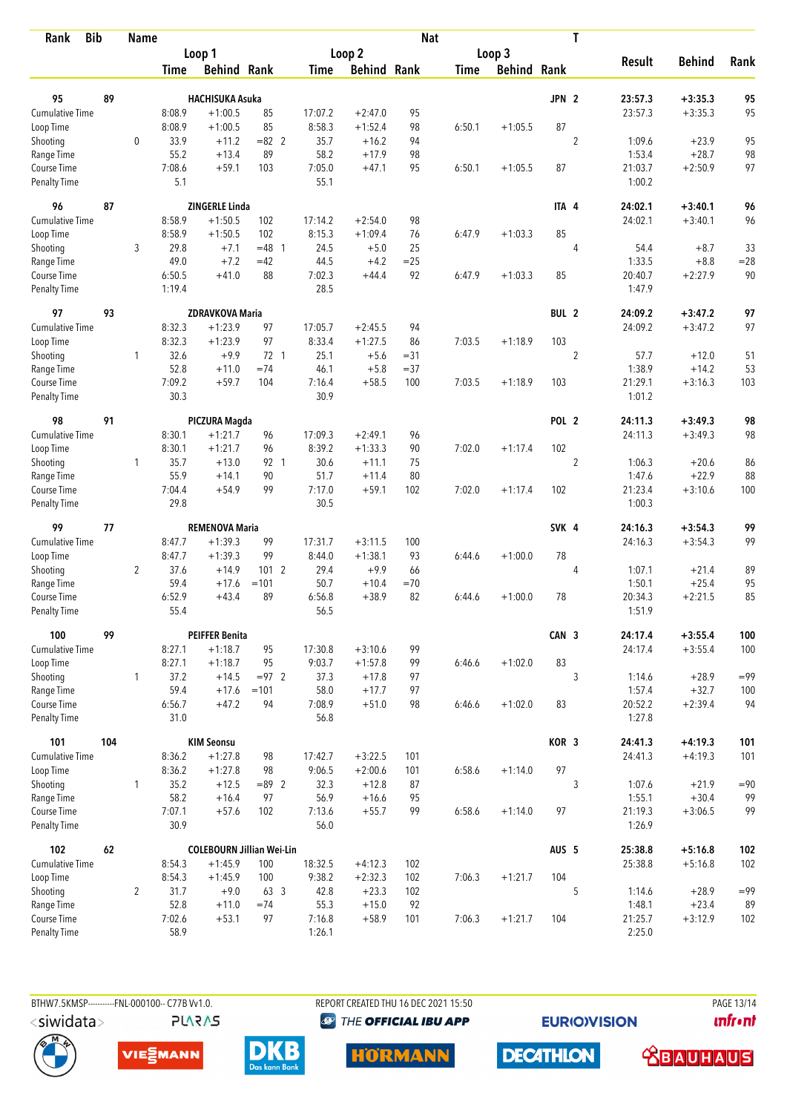| <b>Bib</b><br>Rank                 |     | <b>Name</b>    |                |                                  |          |                |                    | <b>Nat</b> |        |                    |                  | T              |                   |               |        |
|------------------------------------|-----|----------------|----------------|----------------------------------|----------|----------------|--------------------|------------|--------|--------------------|------------------|----------------|-------------------|---------------|--------|
|                                    |     |                |                | Loop 1                           |          |                | Loop 2             |            |        | Loop 3             |                  |                |                   |               |        |
|                                    |     |                | Time           | <b>Behind Rank</b>               |          | Time           | <b>Behind Rank</b> |            | Time   | <b>Behind Rank</b> |                  |                | <b>Result</b>     | <b>Behind</b> | Rank   |
| 95                                 | 89  |                |                | <b>HACHISUKA Asuka</b>           |          |                |                    |            |        |                    | JPN <sub>2</sub> |                | 23:57.3           | $+3:35.3$     | 95     |
| Cumulative Time                    |     |                | 8:08.9         | $+1:00.5$                        | 85       | 17:07.2        | $+2:47.0$          | 95         |        |                    |                  |                | 23:57.3           | $+3:35.3$     | 95     |
| Loop Time                          |     |                | 8:08.9         | $+1:00.5$                        | 85       | 8:58.3         | $+1:52.4$          | 98         | 6:50.1 | $+1:05.5$          | 87               |                |                   |               |        |
| Shooting                           |     | $\mathbf{0}$   | 33.9           | $+11.2$                          | $= 82$ 2 | 35.7           | $+16.2$            | 94         |        |                    |                  | $\overline{2}$ | 1:09.6            | $+23.9$       | 95     |
| Range Time                         |     |                | 55.2           | $+13.4$                          | 89       | 58.2           | $+17.9$            | 98         |        |                    |                  |                | 1:53.4            | $+28.7$       | 98     |
| Course Time                        |     |                | 7:08.6         | $+59.1$                          | 103      | 7:05.0         | $+47.1$            | 95         | 6:50.1 | $+1:05.5$          | 87               |                | 21:03.7           | $+2:50.9$     | 97     |
| <b>Penalty Time</b>                |     |                | 5.1            |                                  |          | 55.1           |                    |            |        |                    |                  |                | 1:00.2            |               |        |
| 96                                 | 87  |                |                | <b>ZINGERLE Linda</b>            |          |                |                    |            |        |                    | ITA 4            |                | 24:02.1           | $+3:40.1$     | 96     |
| <b>Cumulative Time</b>             |     |                | 8:58.9         | $+1:50.5$                        | 102      | 17:14.2        | $+2:54.0$          | 98         |        |                    |                  |                | 24:02.1           | $+3:40.1$     | 96     |
| Loop Time                          |     |                | 8:58.9         | $+1:50.5$                        | 102      | 8:15.3         | $+1:09.4$          | 76         | 6:47.9 | $+1:03.3$          | 85               |                |                   |               |        |
| Shooting                           |     | 3              | 29.8           | $+7.1$                           | $= 48$ 1 | 24.5           | $+5.0$             | 25         |        |                    |                  | 4              | 54.4              | $+8.7$        | 33     |
| Range Time                         |     |                | 49.0           | $+7.2$                           | $=42$    | 44.5           | $+4.2$             | $= 25$     |        |                    |                  |                | 1:33.5            | $+8.8$        | $= 28$ |
| Course Time                        |     |                | 6:50.5         | $+41.0$                          | 88       | 7:02.3         | $+44.4$            | 92         | 6:47.9 | $+1:03.3$          | 85               |                | 20:40.7           | $+2:27.9$     | 90     |
| Penalty Time                       |     |                | 1:19.4         |                                  |          | 28.5           |                    |            |        |                    |                  |                | 1:47.9            |               |        |
| 97                                 | 93  |                |                | <b>ZDRAVKOVA Maria</b>           |          |                |                    |            |        |                    | BUL <sub>2</sub> |                | 24:09.2           | $+3:47.2$     | 97     |
| <b>Cumulative Time</b>             |     |                | 8:32.3         | $+1:23.9$                        | 97       | 17:05.7        | $+2:45.5$          | 94         |        |                    |                  |                | 24:09.2           | $+3:47.2$     | 97     |
| Loop Time                          |     |                | 8:32.3         | $+1:23.9$                        | 97       | 8:33.4         | $+1:27.5$          | 86         | 7:03.5 | $+1:18.9$          | 103              |                |                   |               |        |
| Shooting                           |     | 1              | 32.6           | $+9.9$                           | 72 1     | 25.1           | $+5.6$             | $= 31$     |        |                    |                  | $\overline{2}$ | 57.7              | $+12.0$       | 51     |
| Range Time                         |     |                | 52.8           | $+11.0$                          | $=74$    | 46.1           | $+5.8$             | $=37$      |        |                    |                  |                | 1:38.9            | $+14.2$       | 53     |
| Course Time<br><b>Penalty Time</b> |     |                | 7:09.2<br>30.3 | $+59.7$                          | 104      | 7:16.4<br>30.9 | $+58.5$            | 100        | 7:03.5 | $+1:18.9$          | 103              |                | 21:29.1<br>1:01.2 | $+3:16.3$     | 103    |
| 98                                 | 91  |                |                | PICZURA Magda                    |          |                |                    |            |        |                    | POL 2            |                | 24:11.3           | $+3:49.3$     | 98     |
| <b>Cumulative Time</b>             |     |                | 8:30.1         | $+1:21.7$                        | 96       | 17:09.3        | $+2:49.1$          | 96         |        |                    |                  |                | 24:11.3           | $+3:49.3$     | 98     |
| Loop Time                          |     |                | 8:30.1         | $+1:21.7$                        | 96       | 8:39.2         | $+1:33.3$          | 90         | 7:02.0 | $+1:17.4$          | 102              |                |                   |               |        |
| Shooting                           |     | $\mathbf{1}$   | 35.7           | $+13.0$                          | 92 1     | 30.6           | $+11.1$            | 75         |        |                    |                  | $\overline{2}$ | 1:06.3            | $+20.6$       | 86     |
| Range Time                         |     |                | 55.9           | $+14.1$                          | 90       | 51.7           | $+11.4$            | 80         |        |                    |                  |                | 1:47.6            | $+22.9$       | 88     |
| Course Time                        |     |                | 7:04.4         | $+54.9$                          | 99       | 7:17.0         | $+59.1$            | 102        | 7:02.0 | $+1:17.4$          | 102              |                | 21:23.4           | $+3:10.6$     | 100    |
| <b>Penalty Time</b>                |     |                | 29.8           |                                  |          | 30.5           |                    |            |        |                    |                  |                | 1:00.3            |               |        |
| 99                                 | 77  |                |                | <b>REMENOVA Maria</b>            |          |                |                    |            |        |                    | SVK 4            |                | 24:16.3           | $+3:54.3$     | 99     |
| <b>Cumulative Time</b>             |     |                | 8:47.7         | $+1:39.3$                        | 99       | 17:31.7        | $+3:11.5$          | 100        |        |                    |                  |                | 24:16.3           | $+3:54.3$     | 99     |
| Loop Time                          |     |                | 8:47.7         | $+1:39.3$                        | 99       | 8:44.0         | $+1:38.1$          | 93         | 6:44.6 | $+1:00.0$          | 78               |                |                   |               |        |
| Shooting                           |     | $\overline{2}$ | 37.6           | $+14.9$                          | 101 2    | 29.4           | $+9.9$             | 66         |        |                    |                  | 4              | 1:07.1            | $+21.4$       | 89     |
| Range Time                         |     |                | 59.4           | $+17.6$                          | $=101$   | 50.7           | $+10.4$            | $=70$      |        |                    |                  |                | 1:50.1            | $+25.4$       | 95     |
| Course Time                        |     |                | 6:52.9         | $+43.4$                          | 89       | 6:56.8         | $+38.9$            | 82         | 6:44.6 | $+1:00.0$          | 78               |                | 20:34.3           | $+2:21.5$     | 85     |
| <b>Penalty Time</b>                |     |                | 55.4           |                                  |          | 56.5           |                    |            |        |                    |                  |                | 1:51.9            |               |        |
| 100                                | 99  |                |                | <b>PEIFFER Benita</b>            |          |                |                    |            |        |                    | CAN 3            |                | 24:17.4           | $+3:55.4$     | 100    |
| Cumulative Time                    |     |                | 8:27.1         | $+1:18.7$                        | 95       | 17:30.8        | $+3:10.6$          | 99         |        |                    |                  |                | 24:17.4           | $+3:55.4$     | 100    |
| Loop Time                          |     |                | 8:27.1         | $+1:18.7$                        | 95       | 9:03.7         | $+1:57.8$          | 99         | 6:46.6 | $+1:02.0$          | 83               |                |                   |               |        |
| Shooting                           |     | $\mathbf{1}$   | 37.2           | $+14.5$                          | $= 97$ 2 | 37.3           | $+17.8$            | 97         |        |                    |                  | 3              | 1:14.6            | $+28.9$       | $= 99$ |
| Range Time                         |     |                | 59.4           | $+17.6$                          | $=101$   | 58.0           | $+17.7$            | 97         |        |                    |                  |                | 1:57.4            | $+32.7$       | 100    |
| Course Time<br><b>Penalty Time</b> |     |                | 6:56.7<br>31.0 | $+47.2$                          | 94       | 7:08.9<br>56.8 | $+51.0$            | 98         | 6:46.6 | $+1:02.0$          | 83               |                | 20:52.2<br>1:27.8 | $+2:39.4$     | 94     |
| 101                                | 104 |                |                | <b>KIM Seonsu</b>                |          |                |                    |            |        |                    | KOR 3            |                | 24:41.3           | $+4:19.3$     | 101    |
| <b>Cumulative Time</b>             |     |                | 8:36.2         | $+1:27.8$                        | 98       | 17:42.7        | $+3:22.5$          | 101        |        |                    |                  |                | 24:41.3           | $+4:19.3$     | 101    |
| Loop Time                          |     |                | 8:36.2         | $+1:27.8$                        | 98       | 9:06.5         | $+2:00.6$          | 101        | 6:58.6 | $+1:14.0$          | 97               |                |                   |               |        |
| Shooting                           |     | 1              | 35.2           | $+12.5$                          | $= 89$ 2 | 32.3           | $+12.8$            | 87         |        |                    |                  | 3              | 1:07.6            | $+21.9$       | $= 90$ |
| Range Time                         |     |                | 58.2           | $+16.4$                          | 97       | 56.9           | $+16.6$            | 95         |        |                    |                  |                | 1:55.1            | $+30.4$       | 99     |
| Course Time                        |     |                | 7:07.1         | $+57.6$                          | 102      | 7:13.6         | $+55.7$            | 99         | 6:58.6 | $+1:14.0$          | 97               |                | 21:19.3           | $+3:06.5$     | 99     |
| <b>Penalty Time</b>                |     |                | 30.9           |                                  |          | 56.0           |                    |            |        |                    |                  |                | 1:26.9            |               |        |
| 102                                | 62  |                |                | <b>COLEBOURN Jillian Wei-Lin</b> |          |                |                    |            |        |                    | AUS <sub>5</sub> |                | 25:38.8           | $+5:16.8$     | 102    |
| Cumulative Time                    |     |                | 8:54.3         | $+1:45.9$                        | 100      | 18:32.5        | $+4:12.3$          | 102        |        |                    |                  |                | 25:38.8           | $+5:16.8$     | 102    |
| Loop Time                          |     |                | 8:54.3         | $+1:45.9$                        | 100      | 9:38.2         | $+2:32.3$          | 102        | 7:06.3 | $+1:21.7$          | 104              |                |                   |               |        |
| Shooting                           |     | $\overline{2}$ | 31.7           | $+9.0$                           | 63 3     | 42.8           | $+23.3$            | 102        |        |                    |                  | 5              | 1:14.6            | $+28.9$       | $= 99$ |
| Range Time                         |     |                | 52.8           | $+11.0$                          | $=74$    | 55.3           | $+15.0$            | 92         |        |                    |                  |                | 1:48.1            | $+23.4$       | 89     |
| Course Time                        |     |                | 7:02.6         | $+53.1$                          | 97       | 7:16.8         | $+58.9$            | 101        | 7:06.3 | $+1:21.7$          | 104              |                | 21:25.7           | $+3:12.9$     | 102    |
| Penalty Time                       |     |                | 58.9           |                                  |          | 1:26.1         |                    |            |        |                    |                  |                | 2:25.0            |               |        |

**PLARAS** 

BTHW7.5KMSP----------FNL-000100-- C77B Vv1.0. REPORT CREATED THU 16 DEC 2021 15:50 PAGE 13/14 <sup><sup>9</sup> THE OFFICIAL IBU APP</sup>

**EURIOVISION** 









**DECATHLON** 



**unfront**